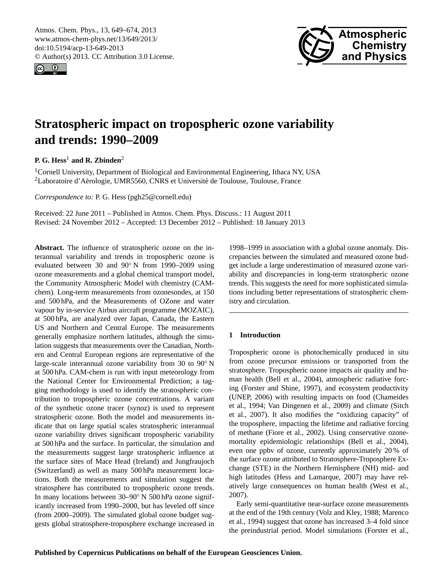<span id="page-0-0"></span>Atmos. Chem. Phys., 13, 649–674, 2013 www.atmos-chem-phys.net/13/649/2013/ doi:10.5194/acp-13-649-2013 © Author(s) 2013. CC Attribution 3.0 License.





# **Stratospheric impact on tropospheric ozone variability and trends: 1990–2009**

# **P. G. Hess<sup>1</sup> and R. Zbinden<sup>2</sup>**

<sup>1</sup>Cornell University, Department of Biological and Environmental Engineering, Ithaca NY, USA <sup>2</sup>Laboratoire d'Aérologie, UMR5560, CNRS et Université de Toulouse, Toulouse, France

*Correspondence to:* P. G. Hess (pgh25@cornell.edu)

Received: 22 June 2011 – Published in Atmos. Chem. Phys. Discuss.: 11 August 2011 Revised: 24 November 2012 – Accepted: 13 December 2012 – Published: 18 January 2013

**Abstract.** The influence of stratospheric ozone on the interannual variability and trends in tropospheric ozone is evaluated between 30 and 90◦ N from 1990–2009 using ozone measurements and a global chemical transport model, the Community Atmospheric Model with chemistry (CAMchem). Long-term measurements from ozonesondes, at 150 and 500 hPa, and the Measurements of OZone and water vapour by in-service Airbus aircraft programme (MOZAIC), at 500 hPa, are analyzed over Japan, Canada, the Eastern US and Northern and Central Europe. The measurements generally emphasize northern latitudes, although the simulation suggests that measurements over the Canadian, Northern and Central European regions are representative of the large-scale interannual ozone variability from 30 to 90◦ N at 500 hPa. CAM-chem is run with input meteorology from the National Center for Environmental Prediction; a tagging methodology is used to identify the stratospheric contribution to tropospheric ozone concentrations. A variant of the synthetic ozone tracer (synoz) is used to represent stratospheric ozone. Both the model and measurements indicate that on large spatial scales stratospheric interannual ozone variability drives significant tropospheric variability at 500 hPa and the surface. In particular, the simulation and the measurements suggest large stratospheric influence at the surface sites of Mace Head (Ireland) and Jungfraujoch (Switzerland) as well as many 500 hPa measurement locations. Both the measurements and simulation suggest the stratosphere has contributed to tropospheric ozone trends. In many locations between 30–90◦ N 500 hPa ozone significantly increased from 1990–2000, but has leveled off since (from 2000–2009). The simulated global ozone budget suggests global stratosphere-troposphere exchange increased in

1998–1999 in association with a global ozone anomaly. Discrepancies between the simulated and measured ozone budget include a large underestimation of measured ozone variability and discrepancies in long-term stratospheric ozone trends. This suggests the need for more sophisticated simulations including better representations of stratospheric chemistry and circulation.

# **1 Introduction**

Tropospheric ozone is photochemically produced in situ from ozone precursor emissions or transported from the stratosphere. Tropospheric ozone impacts air quality and human health (Bell et al., 2004), atmospheric radiative forcing (Forster and Shine, 1997), and ecosystem productivity (UNEP, 2006) with resulting impacts on food (Chameides et al., 1994; Van Dingenen et al., 2009) and climate (Sitch et al., 2007). It also modifies the "oxidizing capacity" of the troposphere, impacting the lifetime and radiative forcing of methane (Fiore et al., 2002). Using conservative ozonemortality epidemiologic relationships (Bell et al., 2004), even one ppbv of ozone, currently approximately 20 % of the surface ozone attributed to Stratosphere-Troposphere Exchange (STE) in the Northern Hemisphere (NH) mid- and high latitudes (Hess and Lamarque, 2007) may have relatively large consequences on human health (West et al., 2007).

Early semi-quantitative near-surface ozone measurements at the end of the 19th century (Volz and Kley, 1988; Marenco et al., 1994) suggest that ozone has increased 3–4 fold since the preindustrial period. Model simulations (Forster et al.,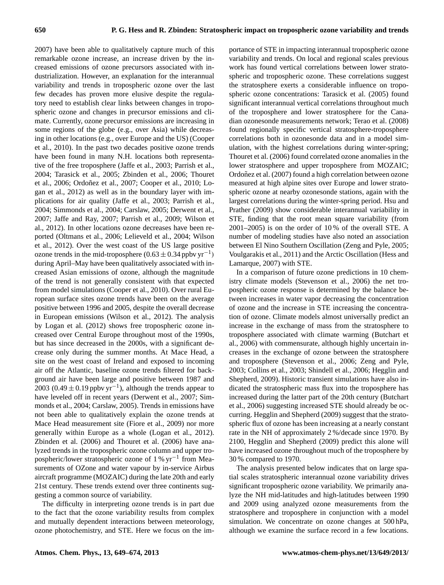2007) have been able to qualitatively capture much of this remarkable ozone increase, an increase driven by the increased emissions of ozone precursors associated with industrialization. However, an explanation for the interannual variability and trends in tropospheric ozone over the last few decades has proven more elusive despite the regulatory need to establish clear links between changes in tropospheric ozone and changes in precursor emissions and climate. Currently, ozone precursor emissions are increasing in some regions of the globe (e.g., over Asia) while decreasing in other locations (e.g., over Europe and the US) (Cooper et al., 2010). In the past two decades positive ozone trends have been found in many N.H. locations both representative of the free troposphere (Jaffe et al., 2003; Parrish et al., 2004; Tarasick et al., 2005; Zbinden et al., 2006; Thouret et al., 2006; Ordoñez et al., 2007; Cooper et al., 2010; Logan et al., 2012) as well as in the boundary layer with implications for air quality (Jaffe et al., 2003; Parrish et al., 2004; Simmonds et al., 2004; Carslaw, 2005; Derwent et al., 2007; Jaffe and Ray, 2007; Parrish et al., 2009; Wilson et al., 2012). In other locations ozone decreases have been reported (Oltmans et al., 2006; Lelieveld et al., 2004; Wilson et al., 2012). Over the west coast of the US large positive ozone trends in the mid-troposphere  $(0.63 \pm 0.34 \text{ ppbv yr}^{-1})$ during April–May have been qualitatively associated with increased Asian emissions of ozone, although the magnitude of the trend is not generally consistent with that expected from model simulations (Cooper et al., 2010). Over rural European surface sites ozone trends have been on the average positive between 1996 and 2005, despite the overall decrease in European emissions (Wilson et al., 2012). The analysis by Logan et al. (2012) shows free tropospheric ozone increased over Central Europe throughout most of the 1990s, but has since decreased in the 2000s, with a significant decrease only during the summer months. At Mace Head, a site on the west coast of Ireland and exposed to incoming air off the Atlantic, baseline ozone trends filtered for background air have been large and positive between 1987 and 2003 (0.49  $\pm$  0.19 ppbv yr<sup>-1</sup>), although the trends appear to have leveled off in recent years (Derwent et al., 2007; Simmonds et al., 2004; Carslaw, 2005). Trends in emissions have not been able to qualitatively explain the ozone trends at Mace Head measurement site (Fiore et al., 2009) nor more generally within Europe as a whole (Logan et al., 2012). Zbinden et al. (2006) and Thouret et al. (2006) have analyzed trends in the tropospheric ozone column and upper tropospheric/lower stratospheric ozone of 1 % yr−<sup>1</sup> from Measurements of OZone and water vapour by in-service Airbus aircraft programme (MOZAIC) during the late 20th and early 21st century. These trends extend over three continents suggesting a common source of variability.

The difficulty in interpreting ozone trends is in part due to the fact that the ozone variability results from complex and mutually dependent interactions between meteorology, ozone photochemistry, and STE. Here we focus on the importance of STE in impacting interannual tropospheric ozone variability and trends. On local and regional scales previous work has found vertical correlations between lower stratospheric and tropospheric ozone. These correlations suggest the stratosphere exerts a considerable influence on tropospheric ozone concentrations: Tarasick et al. (2005) found significant interannual vertical correlations throughout much of the troposphere and lower stratosphere for the Canadian ozonesonde measurements network; Terao et al. (2008) found regionally specific vertical stratosphere-troposphere correlations both in ozonesonde data and in a model simulation, with the highest correlations during winter-spring; Thouret et al. (2006) found correlated ozone anomalies in the lower stratosphere and upper troposphere from MOZAIC; Ordoñez et al. (2007) found a high correlation between ozone measured at high alpine sites over Europe and lower stratospheric ozone at nearby ozonesonde stations, again with the largest correlations during the winter-spring period. Hsu and Prather (2009) show considerable interannual variability in STE, finding that the root mean square variability (from 2001–2005) is on the order of 10 % of the overall STE. A number of modeling studies have also noted an association between El Nino Southern Oscillation (Zeng and Pyle, 2005; Voulgarakis et al., 2011) and the Arctic Oscillation (Hess and Lamarque, 2007) with STE.

In a comparison of future ozone predictions in 10 chemistry climate models (Stevenson et al., 2006) the net tropospheric ozone response is determined by the balance between increases in water vapor decreasing the concentration of ozone and the increase in STE increasing the concentration of ozone. Climate models almost universally predict an increase in the exchange of mass from the stratosphere to troposphere associated with climate warming (Butchart et al., 2006) with commensurate, although highly uncertain increases in the exchange of ozone between the stratosphere and troposphere (Stevenson et al., 2006; Zeng and Pyle, 2003; Collins et al., 2003; Shindell et al., 2006; Hegglin and Shepherd, 2009). Historic transient simulations have also indicated the stratospheric mass flux into the troposphere has increased during the latter part of the 20th century (Butchart et al., 2006) suggesting increased STE should already be occurring. Hegglin and Shepherd (2009) suggest that the stratospheric flux of ozone has been increasing at a nearly constant rate in the NH of approximately 2 %/decade since 1970. By 2100, Hegglin and Shepherd (2009) predict this alone will have increased ozone throughout much of the troposphere by 30 % compared to 1970.

The analysis presented below indicates that on large spatial scales stratospheric interannual ozone variability drives significant tropospheric ozone variability. We primarily analyze the NH mid-latitudes and high-latitudes between 1990 and 2009 using analyzed ozone measurements from the stratosphere and troposphere in conjunction with a model simulation. We concentrate on ozone changes at 500 hPa, although we examine the surface record in a few locations.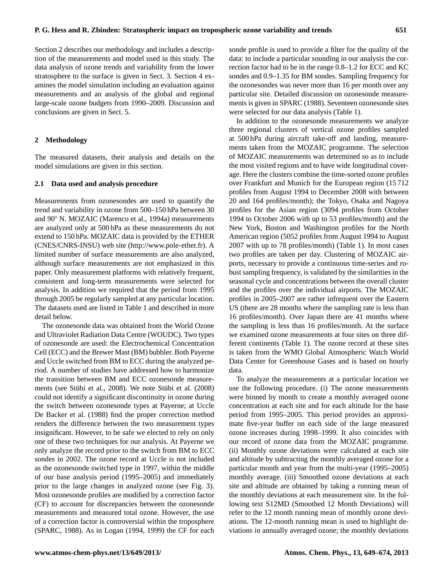Section 2 describes our methodology and includes a description of the measurements and model used in this study. The data analysis of ozone trends and variability from the lower stratosphere to the surface is given in Sect. 3. Section 4 examines the model simulation including an evaluation against measurements and an analysis of the global and regional large-scale ozone budgets from 1990–2009. Discussion and conclusions are given in Sect. 5.

#### **2 Methodology**

The measured datasets, their analysis and details on the model simulations are given in this section.

#### **2.1 Data used and analysis procedure**

Measurements from ozonesondes are used to quantify the trend and variability in ozone from 500–150 hPa between 30 and 90◦ N. MOZAIC (Marenco et al., 1994a) measurements are analyzed only at 500 hPa as these measurements do not extend to 150 hPa. MOZAIC data is provided by the ETHER (CNES/CNRS-INSU) web site [\(http://www.pole-ether.fr\)](http://www.pole-ether.fr). A limited number of surface measurements are also analyzed, although surface measurements are not emphasized in this paper. Only measurement platforms with relatively frequent, consistent and long-term measurements were selected for analysis. In addition we required that the period from 1995 through 2005 be regularly sampled at any particular location. The datasets used are listed in Table 1 and described in more detail below.

The ozonesonde data was obtained from the World Ozone and Ultraviolet Radiation Data Centre (WOUDC). Two types of ozonesonde are used: the Electrochemical Concentration Cell (ECC) and the Brewer Mast (BM) bubbler. Both Payerne and Uccle switched from BM to ECC during the analyzed period. A number of studies have addressed how to harmonize the transition between BM and ECC ozonesonde measurements (see Stübi et al., 2008). We note Stübi et al. (2008) could not identify a significant discontinuity in ozone during the switch between ozonesonde types at Payerne; at Uccle De Backer et al. (1988) find the proper correction method renders the difference between the two measurement types insignificant. However, to be safe we elected to rely on only one of these two techniques for our analysis. At Payerne we only analyze the record prior to the switch from BM to ECC sondes in 2002. The ozone record at Uccle is not included as the ozonesonde switched type in 1997, within the middle of our base analysis period (1995–2005) and immediately prior to the large changes in analyzed ozone (see Fig. 3). Most ozonesonde profiles are modified by a correction factor (CF) to account for discrepancies between the ozonesonde measurements and measured total ozone. However, the use of a correction factor is controversial within the troposphere (SPARC, 1988). As in Logan (1994, 1999) the CF for each sonde profile is used to provide a filter for the quality of the data: to include a particular sounding in our analysis the correction factor had to be in the range 0.8–1.2 for ECC and KC sondes and 0.9–1.35 for BM sondes. Sampling frequency for the ozonesondes was never more than 16 per month over any particular site. Detailed discussion on ozonesonde measurements is given in SPARC (1988). Seventeen ozonesonde sites were selected for our data analysis (Table 1).

In addition to the ozonesonde measurements we analyze three regional clusters of vertical ozone profiles sampled at 500 hPa during aircraft take-off and landing, measurements taken from the MOZAIC programme. The selection of MOZAIC measurements was determined so as to include the most visited regions and to have wide longitudinal coverage. Here the clusters combine the time-sorted ozone profiles over Frankfurt and Munich for the European region (15 712 profiles from August 1994 to December 2008 with between 20 and 164 profiles/month); the Tokyo, Osaka and Nagoya profiles for the Asian region (3094 profiles from October 1994 to October 2006 with up to 53 profiles/month) and the New York, Boston and Washington profiles for the North American region (5052 profiles from August 1994 to August 2007 with up to 78 profiles/month) (Table 1). In most cases two profiles are taken per day. Clustering of MOZAIC airports, necessary to provide a continuous time-series and robust sampling frequency, is validated by the similarities in the seasonal cycle and concentrations between the overall cluster and the profiles over the individual airports. The MOZAIC profiles in 2005–2007 are rather infrequent over the Eastern US (there are 28 months where the sampling rate is less than 16 profiles/month). Over Japan there are 41 months where the sampling is less than 16 profiles/month. At the surface we examined ozone measurements at four sites on three different continents (Table 1). The ozone record at these sites is taken from the WMO Global Atmospheric Watch World Data Center for Greenhouse Gases and is based on hourly data.

To analyze the measurements at a particular location we use the following procedure. (i) The ozone measurements were binned by month to create a monthly averaged ozone concentration at each site and for each altitude for the base period from 1995–2005. This period provides an approximate five-year buffer on each side of the large measured ozone increases during 1998–1999. It also coincides with our record of ozone data from the MOZAIC programme. (ii) Monthly ozone deviations were calculated at each site and altitude by subtracting the monthly averaged ozone for a particular month and year from the multi-year (1995–2005) monthly average. (iii) Smoothed ozone deviations at each site and altitude are obtained by taking a running mean of the monthly deviations at each measurement site. In the following text S12MD (Smoothed 12 Month Deviations) will refer to the 12 month running mean of monthly ozone deviations. The 12-month running mean is used to highlight deviations in annually averaged ozone; the monthly deviations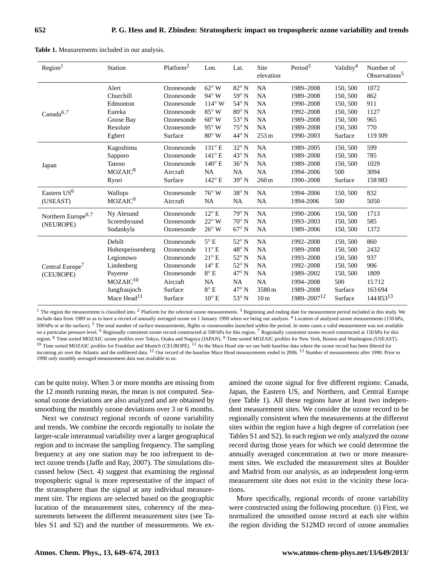| Region <sup>1</sup>                         | Station                                                                                                                             | Platform <sup>2</sup>                                                                                | Lon.                                                                                                                          | Lat.                                                                                                                     | Site<br>elevation                                                    | Period <sup>3</sup>                                                                                                | Validity <sup>4</sup>                                                                 | Number of<br>Observations <sup>5</sup>                                        |
|---------------------------------------------|-------------------------------------------------------------------------------------------------------------------------------------|------------------------------------------------------------------------------------------------------|-------------------------------------------------------------------------------------------------------------------------------|--------------------------------------------------------------------------------------------------------------------------|----------------------------------------------------------------------|--------------------------------------------------------------------------------------------------------------------|---------------------------------------------------------------------------------------|-------------------------------------------------------------------------------|
| Canada <sup>6,7</sup>                       | Alert                                                                                                                               | Ozonesonde                                                                                           | $62^{\circ}$ W                                                                                                                | $82^{\circ}$ N                                                                                                           | NA                                                                   | 1989-2008                                                                                                          | 150, 500                                                                              | 1072                                                                          |
|                                             | <b>Churchill</b>                                                                                                                    | Ozonesonde                                                                                           | $94^\circ$ W                                                                                                                  | $59^{\circ}$ N                                                                                                           | NA                                                                   | 1989-2008                                                                                                          | 150, 500                                                                              | 862                                                                           |
|                                             | Edmonton                                                                                                                            | Ozonesonde                                                                                           | $114^{\circ}$ W                                                                                                               | $54^\circ$ N                                                                                                             | NA                                                                   | 1990-2008                                                                                                          | 150, 500                                                                              | 911                                                                           |
|                                             | Eureka                                                                                                                              | Ozonesonde                                                                                           | $85^\circ$ W                                                                                                                  | $80^{\circ}$ N                                                                                                           | <b>NA</b>                                                            | 1992-2008                                                                                                          | 150, 500                                                                              | 1127                                                                          |
|                                             | Goose Bay                                                                                                                           | Ozonesonde                                                                                           | $60^\circ$ W                                                                                                                  | $53^\circ$ N                                                                                                             | NA                                                                   | 1989-2008                                                                                                          | 150, 500                                                                              | 965                                                                           |
|                                             | Resolute                                                                                                                            | Ozonesonde                                                                                           | $95^\circ$ W                                                                                                                  | $75^{\circ}$ N                                                                                                           | NA                                                                   | 1989-2008                                                                                                          | 150, 500                                                                              | 770                                                                           |
|                                             | Egbert                                                                                                                              | Surface                                                                                              | $80^{\circ}$ W                                                                                                                | $44^{\circ}$ N                                                                                                           | $253 \text{ m}$                                                      | 1990-2003                                                                                                          | Surface                                                                               | 119 309                                                                       |
| Japan                                       | Kagoshima                                                                                                                           | Ozonesonde                                                                                           | $131^{\circ}$ E                                                                                                               | $32^{\circ}$ N                                                                                                           | NA                                                                   | 1989-2005                                                                                                          | 150, 500                                                                              | 599                                                                           |
|                                             | Sapporo                                                                                                                             | Ozonesonde                                                                                           | $141^\circ$ E                                                                                                                 | $43^\circ$ N                                                                                                             | NA                                                                   | 1989-2008                                                                                                          | 150, 500                                                                              | 785                                                                           |
|                                             | Tateno                                                                                                                              | Ozonesonde                                                                                           | $140^\circ$ E                                                                                                                 | $36^{\circ}$ N                                                                                                           | NA                                                                   | 1989-2008                                                                                                          | 150, 500                                                                              | 1029                                                                          |
|                                             | MOZAIC <sup>8</sup>                                                                                                                 | Aircraft                                                                                             | NA                                                                                                                            | NA                                                                                                                       | NA                                                                   | 1994-2006                                                                                                          | 500                                                                                   | 3094                                                                          |
|                                             | Ryori                                                                                                                               | Surface                                                                                              | $142^{\circ}$ E                                                                                                               | 39° N                                                                                                                    | $260 \,\mathrm{m}$                                                   | 1990-2008                                                                                                          | Surface                                                                               | 158983                                                                        |
| Eastern US <sup>6</sup>                     | Wallops                                                                                                                             | Ozonesonde                                                                                           | $76^\circ$ W                                                                                                                  | $38^{\circ}$ N                                                                                                           | NA                                                                   | 1994-2006                                                                                                          | 150, 500                                                                              | 832                                                                           |
| (USEAST)                                    | MOZAIC <sup>9</sup>                                                                                                                 | Aircraft                                                                                             | NA                                                                                                                            | NA                                                                                                                       | NA                                                                   | 1994-2006                                                                                                          | 500                                                                                   | 5050                                                                          |
| Northern Europe <sup>6,7</sup><br>(NEUROPE) | Ny Alesund<br>Scoresbysund<br>Sodankyla                                                                                             | Ozonesonde<br>Ozonesonde<br>Ozonesonde                                                               | $12^{\circ}$ E<br>$22^{\circ}$ W<br>$26^{\circ}$ W                                                                            | $79^{\circ}$ N<br>$70^{\circ}$ N<br>$67^\circ$ N                                                                         | NA<br>NA<br><b>NA</b>                                                | 1990-2006<br>1993-2003<br>1989-2006                                                                                | 150, 500<br>150, 500<br>150, 500                                                      | 1713<br>585<br>1372                                                           |
| Central Europe <sup>/</sup><br>(CEUROPE)    | Debilt<br>Hohenpeissenberg<br>Legionowo<br>Lindenberg<br>Payerne<br>MOZAIC <sup>10</sup><br>Jungfraujoch<br>Mace Head <sup>11</sup> | Ozonesonde<br>Ozonesonde<br>Ozonesonde<br>Ozonesonde<br>Ozonesonde<br>Aircraft<br>Surface<br>Surface | $5^{\circ}$ E<br>$11^{\circ}$ E<br>$21^{\circ}$ E<br>$14^{\circ}$ E<br>$8^{\circ}$ E<br>NA<br>$8^{\circ}$ E<br>$10^{\circ}$ E | $52^{\circ}$ N<br>$48^\circ$ N<br>$52^{\circ}$ N<br>$52^{\circ}$ N<br>$47^\circ$ N<br>NA<br>$47^\circ$ N<br>$53^\circ$ N | NA<br>NA<br>NA<br>NA<br><b>NA</b><br>NA<br>3580 m<br>10 <sub>m</sub> | 1992-2008<br>1989-2008<br>1993-2008<br>1992-2008<br>1989-2002<br>1994-2008<br>1989-2008<br>1989-2007 <sup>12</sup> | 150, 500<br>150, 500<br>150, 500<br>150, 500<br>150, 500<br>500<br>Surface<br>Surface | 860<br>2432<br>937<br>906<br>1809<br>15712<br>163 694<br>144853 <sup>13</sup> |

**Table 1.** Measurements included in our analysis.

 $1$  The region the measurement is classified into.  $2$  Platform for the selected ozone measurements.  $3$  Beginning and ending date for measurement period included in this study. We include data from 1989 so as to have a record of annually averaged ozone on 1 January 1990 when we being our analysis. <sup>4</sup> Location of analyzed ozone measurements (150 hPa, 500 hPa or at the surface). <sup>5</sup> The total number of surface measurements, flights or ozonesondes launched within the period. In some cases a valid measurement was not available on a particular pressure level. <sup>6</sup> Regionally consistent ozone record constructed at 500 hPa for this region. <sup>7</sup> Regionally consistent ozone record constructed at 150 hPa for this region. <sup>8</sup> Time sorted MOZAIC ozone profiles over Tokyo, Osaka and Nagoya (JAPAN). <sup>9</sup> Time sorted MOZAIC profiles for New York, Boston and Washington (USEAST). <sup>10</sup> Time sorted MOZAIC profiles for Frankfurt and Munich (CEUROPE).<sup>11</sup> At the Mace Head site we use both baseline data where the ozone record has been filtered for incoming air over the Atlantic and the unfiltered data. <sup>12</sup> Our record of the baseline Mace Head measurements ended in 2006. <sup>13</sup> Number of measurements after 1990. Prior to 1990 only monthly averaged measurement data was available to us.

can be quite noisy. When 3 or more months are missing from the 12 month running mean, the mean is not computed. Seasonal ozone deviations are also analyzed and are obtained by smoothing the monthly ozone deviations over 3 or 6 months.

Next we construct regional records of ozone variability and trends. We combine the records regionally to isolate the larger-scale interannual variability over a larger geographical region and to increase the sampling frequency. The sampling frequency at any one station may be too infrequent to detect ozone trends (Jaffe and Ray, 2007). The simulations discussed below (Sect. 4) suggest that examining the regional tropospheric signal is more representative of the impact of the stratosphere than the signal at any individual measurement site. The regions are selected based on the geographic location of the measurement sites, coherency of the measurements between the different measurement sites (see Tables S1 and S2) and the number of measurements. We ex-

amined the ozone signal for five different regions: Canada, Japan, the Eastern US, and Northern, and Central Europe (see Table 1). All these regions have at least two independent measurement sites. We consider the ozone record to be regionally consistent when the measurements at the different sites within the region have a high degree of correlation (see Tables S1 and S2). In each region we only analyzed the ozone record during those years for which we could determine the annually averaged concentration at two or more measurement sites. We excluded the measurement sites at Boulder and Madrid from our analysis, as an independent long-term measurement site does not exist in the vicinity these locations.

More specifically, regional records of ozone variability were constructed using the following procedure. (i) First, we normalized the smoothed ozone record at each site within the region dividing the S12MD record of ozone anomalies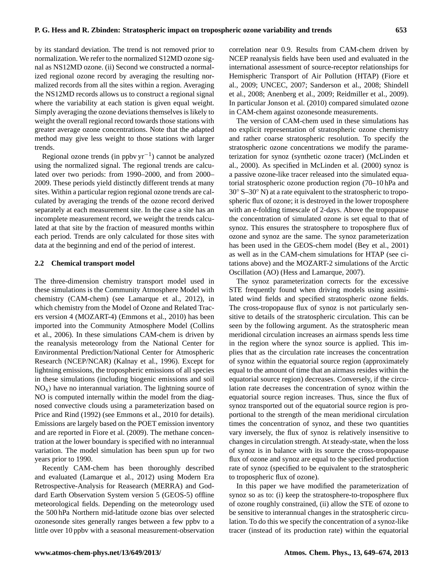by its standard deviation. The trend is not removed prior to normalization. We refer to the normalized S12MD ozone signal as NS12MD ozone. (ii) Second we constructed a normalized regional ozone record by averaging the resulting normalized records from all the sites within a region. Averaging the NS12MD records allows us to construct a regional signal where the variability at each station is given equal weight. Simply averaging the ozone deviations themselves is likely to weight the overall regional record towards those stations with greater average ozone concentrations. Note that the adapted method may give less weight to those stations with larger trends.

Regional ozone trends (in ppbv yr<sup>-1</sup>) cannot be analyzed using the normalized signal. The regional trends are calculated over two periods: from 1990–2000, and from 2000– 2009. These periods yield distinctly different trends at many sites. Within a particular region regional ozone trends are calculated by averaging the trends of the ozone record derived separately at each measurement site. In the case a site has an incomplete measurement record, we weight the trends calculated at that site by the fraction of measured months within each period. Trends are only calculated for those sites with data at the beginning and end of the period of interest.

## **2.2 Chemical transport model**

The three-dimension chemistry transport model used in these simulations is the Community Atmosphere Model with chemistry (CAM-chem) (see Lamarque et al., 2012), in which chemistry from the Model of Ozone and Related Tracers version 4 (MOZART-4) (Emmons et al., 2010) has been imported into the Community Atmosphere Model (Collins et al., 2006). In these simulations CAM-chem is driven by the reanalysis meteorology from the National Center for Environmental Prediction/National Center for Atmospheric Research (NCEP/NCAR) (Kalnay et al., 1996). Except for lightning emissions, the tropospheric emissions of all species in these simulations (including biogenic emissions and soil  $NO<sub>x</sub>$ ) have no interannual variation. The lightning source of NO is computed internally within the model from the diagnosed convective clouds using a parameterization based on Price and Rind (1992) (see Emmons et al., 2010 for details). Emissions are largely based on the POET emission inventory and are reported in Fiore et al. (2009). The methane concentration at the lower boundary is specified with no interannual variation. The model simulation has been spun up for two years prior to 1990.

Recently CAM-chem has been thoroughly described and evaluated (Lamarque et al., 2012) using Modern Era Retrospective-Analysis for Reasearch (MERRA) and Goddard Earth Observation System version 5 (GEOS-5) offline meteorological fields. Depending on the meteorology used the 500 hPa Northern mid-latitude ozone bias over selected ozonesonde sites generally ranges between a few ppbv to a little over 10 ppbv with a seasonal measurement-observation correlation near 0.9. Results from CAM-chem driven by NCEP reanalysis fields have been used and evaluated in the international assessment of source-receptor relationships for Hemispheric Transport of Air Pollution (HTAP) (Fiore et al., 2009; UNCEC, 2007; Sanderson et al., 2008; Shindell et al., 2008; Anenberg et al., 2009; Reidmiller et al., 2009). In particular Jonson et al. (2010) compared simulated ozone in CAM-chem against ozonesonde measurements.

The version of CAM-chem used in these simulations has no explicit representation of stratospheric ozone chemistry and rather coarse stratospheric resolution. To specify the stratospheric ozone concentrations we modify the parameterization for synoz (synthetic ozone tracer) (McLinden et al., 2000). As specified in McLinden et al. (2000) synoz is a passive ozone-like tracer released into the simulated equatorial stratospheric ozone production region (70–10 hPa and 30◦ S–30◦ N) at a rate equivalent to the stratospheric to tropospheric flux of ozone; it is destroyed in the lower troposphere with an e-folding timescale of 2-days. Above the tropopause the concentration of simulated ozone is set equal to that of synoz. This ensures the stratosphere to troposphere flux of ozone and synoz are the same. The synoz parameterization has been used in the GEOS-chem model (Bey et al., 2001) as well as in the CAM-chem simulations for HTAP (see citations above) and the MOZART-2 simulations of the Arctic Oscillation (AO) (Hess and Lamarque, 2007).

The synoz parameterization corrects for the excessive STE frequently found when driving models using assimilated wind fields and specified stratospheric ozone fields. The cross-tropopause flux of synoz is not particularly sensitive to details of the stratospheric circulation. This can be seen by the following argument. As the stratospheric mean meridional circulation increases an airmass spends less time in the region where the synoz source is applied. This implies that as the circulation rate increases the concentration of synoz within the equatorial source region (approximately equal to the amount of time that an airmass resides within the equatorial source region) decreases. Conversely, if the circulation rate decreases the concentration of synoz within the equatorial source region increases. Thus, since the flux of synoz transported out of the equatorial source region is proportional to the strength of the mean meridional circulation times the concentration of synoz, and these two quantities vary inversely, the flux of synoz is relatively insensitive to changes in circulation strength. At steady-state, when the loss of synoz is in balance with its source the cross-tropopause flux of ozone and synoz are equal to the specified production rate of synoz (specified to be equivalent to the stratospheric to tropospheric flux of ozone).

In this paper we have modified the parameterization of synoz so as to: (i) keep the stratosphere-to-troposphere flux of ozone roughly constrained, (ii) allow the STE of ozone to be sensitive to interannual changes in the stratospheric circulation. To do this we specify the concentration of a synoz-like tracer (instead of its production rate) within the equatorial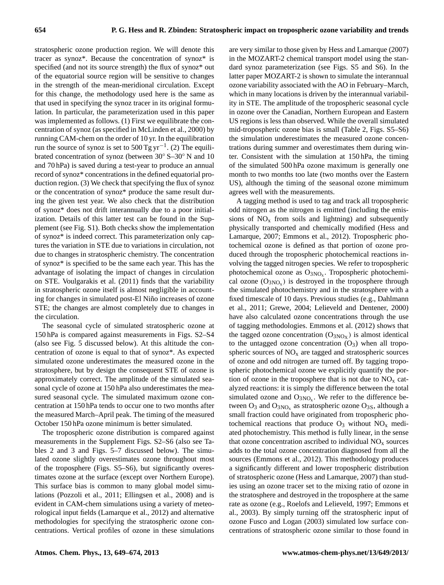stratospheric ozone production region. We will denote this tracer as synoz\*. Because the concentration of synoz\* is specified (and not its source strength) the flux of synoz\* out of the equatorial source region will be sensitive to changes in the strength of the mean-meridional circulation. Except for this change, the methodology used here is the same as that used in specifying the synoz tracer in its original formulation. In particular, the parameterization used in this paper was implemented as follows. (1) First we equilibrate the concentration of synoz (as specified in McLinden et al., 2000) by running CAM-chem on the order of 10 yr. In the equilibration run the source of synoz is set to  $500 \text{ Tg yr}^{-1}$ . (2) The equilibrated concentration of synoz (between 30◦ S–30◦ N and 10 and 70 hPa) is saved during a test-year to produce an annual record of synoz\* concentrations in the defined equatorial production region. (3) We check that specifying the flux of synoz or the concentration of synoz\* produce the same result during the given test year. We also check that the distribution of synoz\* does not drift interannually due to a poor initialization. Details of this latter test can be found in the Supplement (see Fig. S1). Both checks show the implementation of synoz\* is indeed correct. This parameterization only captures the variation in STE due to variations in circulation, not due to changes in stratospheric chemistry. The concentration of synoz\* is specified to be the same each year. This has the advantage of isolating the impact of changes in circulation on STE. Voulgarakis et al. (2011) finds that the variability in stratospheric ozone itself is almost negligible in accounting for changes in simulated post-El Niño increases of ozone STE; the changes are almost completely due to changes in the circulation.

The seasonal cycle of simulated stratospheric ozone at 150 hPa is compared against measurements in Figs. S2–S4 (also see Fig. 5 discussed below). At this altitude the concentration of ozone is equal to that of synoz\*. As expected simulated ozone underestimates the measured ozone in the stratosphere, but by design the consequent STE of ozone is approximately correct. The amplitude of the simulated seasonal cycle of ozone at 150 hPa also underestimates the measured seasonal cycle. The simulated maximum ozone concentration at 150 hPa tends to occur one to two months after the measured March–April peak. The timing of the measured October 150 hPa ozone minimum is better simulated.

The tropospheric ozone distribution is compared against measurements in the Supplement Figs. S2–S6 (also see Tables 2 and 3 and Figs. 5–7 discussed below). The simulated ozone slightly overestimates ozone throughout most of the troposphere (Figs. S5–S6), but significantly overestimates ozone at the surface (except over Northern Europe). This surface bias is common to many global model simulations (Pozzoli et al., 2011; Ellingsen et al., 2008) and is evident in CAM-chem simulations using a variety of meteorological input fields (Lamarque et al., 2012) and alternative methodologies for specifying the stratospheric ozone concentrations. Vertical profiles of ozone in these simulations are very similar to those given by Hess and Lamarque (2007) in the MOZART-2 chemical transport model using the standard synoz parameterization (see Figs. S5 and S6). In the latter paper MOZART-2 is shown to simulate the interannual ozone variability associated with the AO in February–March, which in many locations is driven by the interannual variability in STE. The amplitude of the tropospheric seasonal cycle in ozone over the Canadian, Northern European and Eastern US regions is less than observed. While the overall simulated mid-tropospheric ozone bias is small (Table 2, Figs. S5–S6) the simulation underestimates the measured ozone concentrations during summer and overestimates them during winter. Consistent with the simulation at 150 hPa, the timing of the simulated 500 hPa ozone maximum is generally one month to two months too late (two months over the Eastern US), although the timing of the seasonal ozone mimimum agrees well with the measurements.

A tagging method is used to tag and track all tropospheric odd nitrogen as the nitrogen is emitted (including the emissions of  $NO<sub>x</sub>$  from soils and lightning) and subsequently physically transported and chemically modified (Hess and Lamarque, 2007; Emmons et al., 2012). Tropospheric photochemical ozone is defined as that portion of ozone produced through the tropospheric photochemical reactions involving the tagged nitrogen species. We refer to tropospheric photochemical ozone as  $O_{3NO<sub>x</sub>}$ . Tropospheric photochemical ozone  $(O_{3NO_x})$  is destroyed in the troposphere through the simulated photochemistry and in the stratosphere with a fixed timescale of 10 days. Previous studies (e.g., Dahlmann et al., 2011; Grewe, 2004; Lelieveld and Dentener, 2000) have also calculated ozone concentrations through the use of tagging methodologies. Emmons et al. (2012) shows that the tagged ozone concentration  $(O_{3NO_X})$  is almost identical to the untagged ozone concentration  $(O_3)$  when all tropospheric sources of  $NO<sub>x</sub>$  are tagged and stratospheric sources of ozone and odd nitrogen are turned off. By tagging tropospheric photochemical ozone we explicitly quantify the portion of ozone in the troposphere that is not due to  $NO<sub>x</sub>$  catalyzed reactions: it is simply the difference between the total simulated ozone and  $O_{3NO<sub>x</sub>}$ . We refer to the difference between  $O_3$  and  $O_{3NO_x}$  as stratospheric ozone  $O_{3S}$ , although a small fraction could have originated from tropospheric photochemical reactions that produce  $O_3$  without  $NO_x$  mediated photochemistry. This method is fully linear, in the sense that ozone concentration ascribed to individual  $NO<sub>x</sub>$  sources adds to the total ozone concentration diagnosed from all the sources (Emmons et al., 2012). This methodology produces a significantly different and lower tropospheric distribution of stratospheric ozone (Hess and Lamarque, 2007) than studies using an ozone tracer set to the mixing ratio of ozone in the stratosphere and destroyed in the troposphere at the same rate as ozone (e.g., Roelofs and Lelieveld, 1997; Emmons et al., 2003). By simply turning off the stratospheric input of ozone Fusco and Logan (2003) simulated low surface concentrations of stratospheric ozone similar to those found in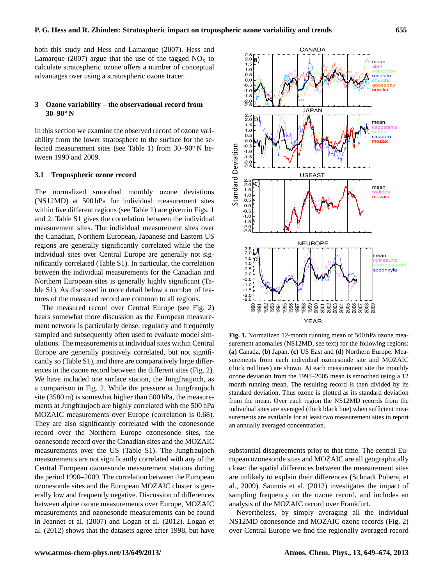both this study and Hess and Lamarque (2007). Hess and Lamarque (2007) argue that the use of the tagged  $NO<sub>x</sub>$  to calculate stratospheric ozone offers a number of conceptual advantages over using a stratospheric ozone tracer.

## **3 Ozone variability – the observational record from 30–90**◦ **N**

In this section we examine the observed record of ozone variability from the lower stratosphere to the surface for the selected measurement sites (see Table 1) from 30–90◦ N between 1990 and 2009.

## **3.1 Tropospheric ozone record**

The normalized smoothed monthly ozone deviations (NS12MD) at 500 hPa for individual measurement sites within five different regions (see Table 1) are given in Figs. 1 and 2. Table S1 gives the correlation between the individual measurement sites. The individual measurement sites over the Canadian, Northern European, Japanese and Eastern US regions are generally significantly correlated while the the individual sites over Central Europe are generally not significantly correlated (Table S1). In particular, the correlation between the individual measurements for the Canadian and Northern European sites is generally highly significant (Table S1). As discussed in more detail below a number of features of the measured record are common to all regions.

The measured record over Central Europe (see Fig. 2) bears somewhat more discussion as the European measurement network is particularly dense, regularly and frequently sampled and subsequently often used to evaluate model simulations. The measurements at individual sites within Central Europe are generally positively correlated, but not significantly so (Table S1), and there are comparatively large differences in the ozone record between the different sites (Fig. 2). We have included one surface station, the Jungfraujoch, as a comparison in Fig. 2. While the pressure at Jungfraujoch site (3580 m) is somewhat higher than 500 hPa, the measurements at Jungfraujoch are highly correlated with the 500 hPa MOZAIC measurements over Europe (correlation is 0.68). They are also significantly correlated with the ozonesonde record over the Northern Europe ozonesonde sites, the ozonesonde record over the Canadian sites and the MOZAIC measurements over the US (Table S1). The Jungfraujoch measurements are not significantly correlated with any of the Central European ozonesonde measurement stations during the period 1990–2009. The correlation between the European ozonesonde sites and the European MOZAIC cluster is generally low and frequently negative. Discussion of differences between alpine ozone measurements over Europe, MOZAIC measurements and ozonesonde measurements can be found in Jeannet et al. (2007) and Logan et al. (2012). Logan et al. (2012) shows that the datasets agree after 1998, but have



**Fig. 1.** Normalized 12-month running mean of 500 hPa ozone measurement anomalies (NS12MD, see text) for the following regions: **(a)** Canada, **(b)** Japan, **(c)** US East and **(d)** Northern Europe. Measurements from each individual ozonesonde site and MOZAIC (thick red lines) are shown. At each measurement site the monthly ozone deviation from the 1995–2005 mean is smoothed using a 12 month running mean. The resulting record is then divided by its standard deviation. Thus ozone is plotted as its standard deviation from the mean. Over each region the NS12MD records from the individual sites are averaged (thick black line) when sufficient measurements are available for at least two measurement sites to report an annually averaged concentration.

substantial disagreements prior to that time. The central European ozonesonde sites and MOZAIC are all geographically close: the spatial differences between the measurement sites are unlikely to explain their differences (Schnadt Poberaj et al., 2009). Saunois et al. (2012) investigates the impact of sampling frequency on the ozone record, and includes an analysis of the MOZAIC record over Frankfurt.

Nevertheless, by simply averaging all the individual NS12MD ozonesonde and MOZAIC ozone records (Fig. 2) over Central Europe we find the regionally averaged record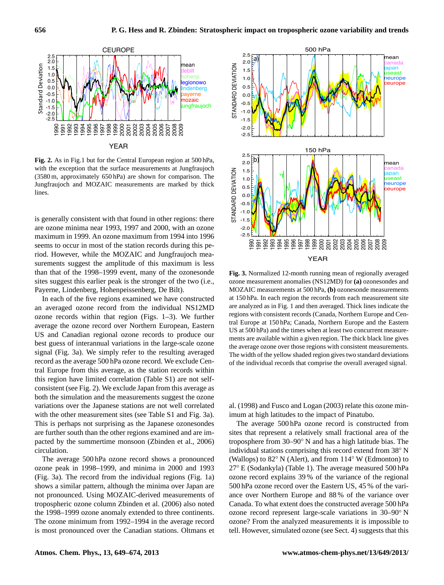

**Fig. 2.** As in Fig.1 but for the Central European region at 500 hPa, with the exception that the surface measurements at Jungfraujoch (3580 m, approximately 650 hPa) are shown for comparison. The Jungfraujoch and MOZAIC measurements are marked by thick lines.

is generally consistent with that found in other regions: there are ozone minima near 1993, 1997 and 2000, with an ozone maximum in 1999. An ozone maximum from 1994 into 1996 seems to occur in most of the station records during this period. However, while the MOZAIC and Jungfraujoch measurements suggest the amplitude of this maximum is less than that of the 1998–1999 event, many of the ozonesonde sites suggest this earlier peak is the stronger of the two (i.e., Payerne, Lindenberg, Hohenpeissenberg, De Bilt).

In each of the five regions examined we have constructed an averaged ozone record from the individual NS12MD ozone records within that region (Figs. 1–3). We further average the ozone record over Northern European, Eastern US and Canadian regional ozone records to produce our best guess of interannual variations in the large-scale ozone signal (Fig. 3a). We simply refer to the resulting averaged record as the average 500 hPa ozone record. We exclude Central Europe from this average, as the station records within this region have limited correlation (Table S1) are not selfconsistent (see Fig. 2). We exclude Japan from this average as both the simulation and the measurements suggest the ozone variations over the Japanese stations are not well correlated with the other measurement sites (see Table S1 and Fig. 3a). This is perhaps not surprising as the Japanese ozonesondes are further south than the other regions examined and are impacted by the summertime monsoon (Zbinden et al., 2006) circulation.

The average 500 hPa ozone record shows a pronounced ozone peak in 1998–1999, and minima in 2000 and 1993 (Fig. 3a). The record from the individual regions (Fig. 1a) shows a similar pattern, although the minima over Japan are not pronounced. Using MOZAIC-derived measurements of tropospheric ozone column Zbinden et al. (2006) also noted the 1998–1999 ozone anomaly extended to three continents. The ozone minimum from 1992–1994 in the average record is most pronounced over the Canadian stations. Oltmans et



**Fig. 3.** Normalized 12-month running mean of regionally averaged ozone measurement anomalies (NS12MD) for **(a)** ozonesondes and MOZAIC measurements at 500 hPa, **(b)** ozonesonde measurements at 150 hPa. In each region the records from each measurement site are analyzed as in Fig. 1 and then averaged. Thick lines indicate the regions with consistent records (Canada, Northern Europe and Central Europe at 150 hPa; Canada, Northern Europe and the Eastern US at 500 hPa) and the times when at least two concurrent measurements are available within a given region. The thick black line gives the average ozone over those regions with consistent measurements. The width of the yellow shaded region gives two standard deviations of the individual records that comprise the overall averaged signal.

al. (1998) and Fusco and Logan (2003) relate this ozone minimum at high latitudes to the impact of Pinatubo.

The average 500 hPa ozone record is constructed from sites that represent a relatively small fractional area of the troposphere from 30–90◦ N and has a high latitude bias. The individual stations comprising this record extend from 38◦ N (Wallops) to  $82°$  N (Alert), and from  $114°$  W (Edmonton) to 27◦ E (Sodankyla) (Table 1). The average measured 500 hPa ozone record explains 39 % of the variance of the regional 500 hPa ozone record over the Eastern US, 45 % of the variance over Northern Europe and 88 % of the variance over Canada. To what extent does the constructed average 500 hPa ozone record represent large-scale variations in 30–90◦ N ozone? From the analyzed measurements it is impossible to tell. However, simulated ozone (see Sect. 4) suggests that this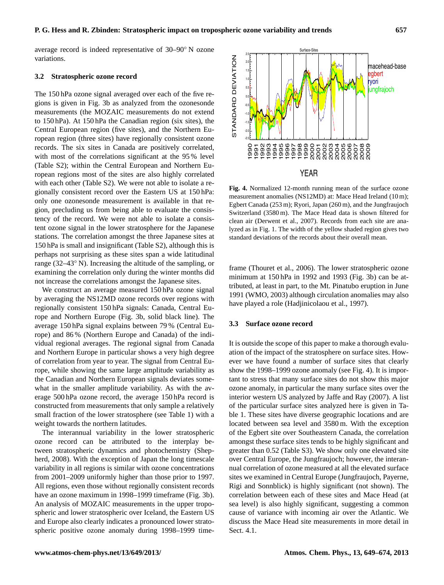average record is indeed representative of 30–90◦ N ozone variations.

#### **3.2 Stratospheric ozone record**

The 150 hPa ozone signal averaged over each of the five regions is given in Fig. 3b as analyzed from the ozonesonde measurements (the MOZAIC measurements do not extend to 150 hPa). At 150 hPa the Canadian region (six sites), the Central European region (five sites), and the Northern European region (three sites) have regionally consistent ozone records. The six sites in Canada are positively correlated, with most of the correlations significant at the 95 % level (Table S2); within the Central European and Northern European regions most of the sites are also highly correlated with each other (Table S2). We were not able to isolate a regionally consistent record over the Eastern US at 150 hPa: only one ozonesonde measurement is available in that region, precluding us from being able to evaluate the consistency of the record. We were not able to isolate a consistent ozone signal in the lower stratosphere for the Japanese stations. The correlation amongst the three Japanese sites at 150 hPa is small and insignificant (Table S2), although this is perhaps not surprising as these sites span a wide latitudinal range (32–43◦ N). Increasing the altitude of the sampling, or examining the correlation only during the winter months did not increase the correlations amongst the Japanese sites.

We construct an average measured 150 hPa ozone signal by averaging the NS12MD ozone records over regions with regionally consistent 150 hPa signals: Canada, Central Europe and Northern Europe (Fig. 3b, solid black line). The average 150 hPa signal explains between 79 % (Central Europe) and 86 % (Northern Europe and Canada) of the individual regional averages. The regional signal from Canada and Northern Europe in particular shows a very high degree of correlation from year to year. The signal from Central Europe, while showing the same large amplitude variability as the Canadian and Northern European signals deviates somewhat in the smaller amplitude variability. As with the average 500 hPa ozone record, the average 150 hPa record is constructed from measurements that only sample a relatively small fraction of the lower stratosphere (see Table 1) with a weight towards the northern latitudes.

The interannual variability in the lower stratospheric ozone record can be attributed to the interplay between stratospheric dynamics and photochemistry (Shepherd, 2008). With the exception of Japan the long timescale variability in all regions is similar with ozone concentrations from 2001–2009 uniformly higher than those prior to 1997. All regions, even those without regionally consistent records have an ozone maximum in 1998–1999 timeframe (Fig. 3b). An analysis of MOZAIC measurements in the upper tropospheric and lower stratospheric over Iceland, the Eastern US and Europe also clearly indicates a pronounced lower stratospheric positive ozone anomaly during 1998–1999 time-



**Fig. 4.** Normalized 12-month running mean of the surface ozone measurement anomalies (NS12MD) at: Mace Head Ireland (10 m); Egbert Canada (253 m); Ryori, Japan (260 m), and the Jungfraujoch Switzerland (3580 m). The Mace Head data is shown filtered for clean air (Derwent et al., 2007). Records from each site are analyzed as in Fig. 1. The width of the yellow shaded region gives two standard deviations of the records about their overall mean.

frame (Thouret et al., 2006). The lower stratospheric ozone minimum at 150 hPa in 1992 and 1993 (Fig. 3b) can be attributed, at least in part, to the Mt. Pinatubo eruption in June 1991 (WMO, 2003) although circulation anomalies may also have played a role (Hadjinicolaou et al., 1997).

## **3.3 Surface ozone record**

It is outside the scope of this paper to make a thorough evaluation of the impact of the stratosphere on surface sites. However we have found a number of surface sites that clearly show the 1998–1999 ozone anomaly (see Fig. 4). It is important to stress that many surface sites do not show this major ozone anomaly, in particular the many surface sites over the interior western US analyzed by Jaffe and Ray (2007). A list of the particular surface sites analyzed here is given in Table 1. These sites have diverse geographic locations and are located between sea level and 3580 m. With the exception of the Egbert site over Southeastern Canada, the correlation amongst these surface sites tends to be highly significant and greater than 0.52 (Table S3). We show only one elevated site over Central Europe, the Jungfraujoch; however, the interannual correlation of ozone measured at all the elevated surface sites we examined in Central Europe (Jungfraujoch, Payerne, Rigi and Sonnblick) is highly significant (not shown). The correlation between each of these sites and Mace Head (at sea level) is also highly significant, suggesting a common cause of variance with incoming air over the Atlantic. We discuss the Mace Head site measurements in more detail in Sect. 4.1.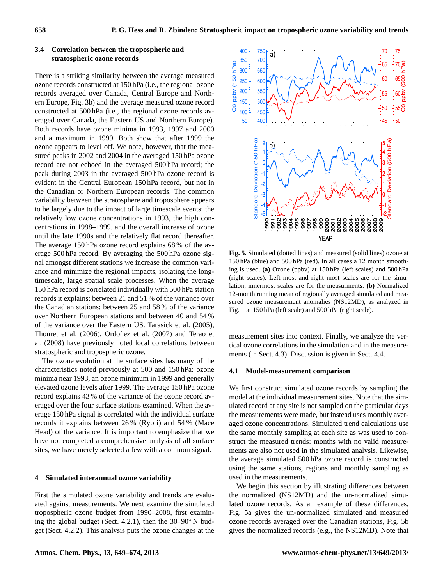# **3.4 Correlation between the tropospheric and stratospheric ozone records**

There is a striking similarity between the average measured ozone records constructed at 150 hPa (i.e., the regional ozone records averaged over Canada, Central Europe and Northern Europe, Fig. 3b) and the average measured ozone record constructed at 500 hPa (i.e., the regional ozone records averaged over Canada, the Eastern US and Northern Europe). Both records have ozone minima in 1993, 1997 and 2000 and a maximum in 1999. Both show that after 1999 the ozone appears to level off. We note, however, that the measured peaks in 2002 and 2004 in the averaged 150 hPa ozone record are not echoed in the averaged 500 hPa record; the peak during 2003 in the averaged 500 hPa ozone record is evident in the Central European 150 hPa record, but not in the Canadian or Northern European records. The common variability between the stratosphere and troposphere appears to be largely due to the impact of large timescale events: the relatively low ozone concentrations in 1993, the high concentrations in 1998–1999, and the overall increase of ozone until the late 1990s and the relatively flat record thereafter. The average 150 hPa ozone record explains 68 % of the average 500 hPa record. By averaging the 500 hPa ozone signal amongst different stations we increase the common variance and minimize the regional impacts, isolating the longtimescale, large spatial scale processes. When the average 150 hPa record is correlated individually with 500 hPa station records it explains: between 21 and 51 % of the variance over the Canadian stations; between 25 and 58 % of the variance over Northern European stations and between 40 and 54 % of the variance over the Eastern US. Tarasick et al. (2005), Thouret et al. (2006), Ordoñez et al. (2007) and Terao et al. (2008) have previously noted local correlations between stratospheric and tropospheric ozone. Both records have one minimize the results of the nucleus of the ozone and and an anxiom in 1999. Both show that the measure of the ozone changes at the other of the other of the other of the other of the other of the oth

The ozone evolution at the surface sites has many of the characteristics noted previously at 500 and 150 hPa: ozone minima near 1993, an ozone minimum in 1999 and generally elevated ozone levels after 1999. The average 150 hPa ozone record explains 43 % of the variance of the ozone record averaged over the four surface stations examined. When the average 150 hPa signal is correlated with the individual surface records it explains between 26 % (Ryori) and 54 % (Mace Head) of the variance. It is important to emphasize that we have not completed a comprehensive analysis of all surface sites, we have merely selected a few with a common signal.

## **4 Simulated interannual ozone variability**

First the simulated ozone variability and trends are evaluated against measurements. We next examine the simulated tropospheric ozone budget from 1990–2008, first examining the global budget (Sect. 4.2.1), then the 30–90◦ N bud-



**Fig. 5.** Simulated (dotted lines) and measured (solid lines) ozone at 150 hPa (blue) and 500 hPa (red). In all cases a 12 month smoothing is used. **(a)** Ozone (ppbv) at 150 hPa (left scales) and 500 hPa (right scales). Left most and right most scales are for the simulation, innermost scales are for the measurments. **(b)** Normalized 12-month running mean of regionally averaged simulated and measured ozone measurement anomalies (NS12MD), as analyzed in Fig. 1 at 150 hPa (left scale) and 500 hPa (right scale).

measurement sites into context. Finally, we analyze the vertical ozone correlations in the simulation and in the measurements (in Sect. 4.3). Discussion is given in Sect. 4.4.

#### **4.1 Model-measurement comparison**

We first construct simulated ozone records by sampling the model at the individual measurement sites. Note that the simulated record at any site is not sampled on the particular days the measurements were made, but instead uses monthly averaged ozone concentrations. Simulated trend calculations use the same monthly sampling at each site as was used to construct the measured trends: months with no valid measurements are also not used in the simulated analysis. Likewise, the average simulated 500 hPa ozone record is constructed using the same stations, regions and monthly sampling as used in the measurements.

We begin this section by illustrating differences between the normalized (NS12MD) and the un-normalized simulated ozone records. As an example of these differences, Fig. 5a gives the un-normalized simulated and measured ozone records averaged over the Canadian stations, Fig. 5b gives the normalized records (e.g., the NS12MD). Note that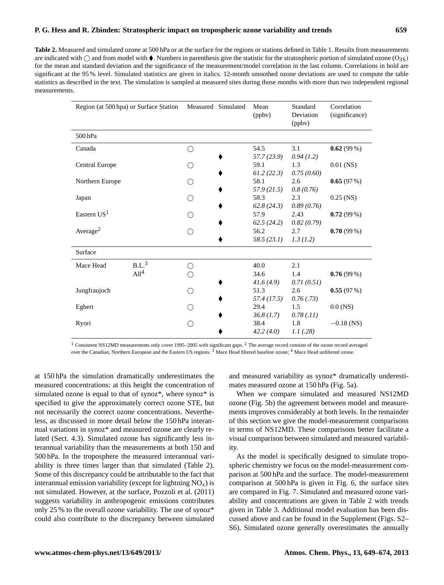# **P. G. Hess and R. Zbinden: Stratospheric impact on tropospheric ozone variability and trends 659**

| Region (at 500 hpa) or Surface Station |                   | Measured Simulated | Mean<br>(ppbv) | Standard<br>Deviation<br>(ppbv) | Correlation<br>(significance) |  |
|----------------------------------------|-------------------|--------------------|----------------|---------------------------------|-------------------------------|--|
| 500 hPa                                |                   |                    |                |                                 |                               |  |
| Canada                                 |                   | ∩                  | 54.5           | 3.1                             | 0.62(99%)                     |  |
|                                        |                   |                    | 57.7 (23.9)    | 0.94(1.2)                       |                               |  |
| Central Europe                         |                   | ∩                  | 59.1           | 1.3                             | $0.01$ (NS)                   |  |
|                                        |                   |                    | 61.2(22.3)     | 0.75(0.60)                      |                               |  |
| Northern Europe                        |                   | ∩                  | 58.1           | 2.6                             | 0.65(97%)                     |  |
|                                        |                   |                    | 57.9(21.5)     | 0.8(0.76)                       |                               |  |
| Japan                                  |                   | ◯                  | 58.3           | 2.3                             | $0.25$ (NS)                   |  |
|                                        |                   |                    | 62.8(24.3)     | 0.89(0.76)                      |                               |  |
| Eastern US <sup>1</sup>                |                   | ∩                  | 57.9           | 2.43                            | $0.72(99\%)$                  |  |
|                                        |                   |                    | 62.5(24.2)     | 0.82(0.79)                      |                               |  |
| Average <sup>2</sup>                   |                   | ∩                  | 56.2           | 2.7                             | $0.70(99\%)$                  |  |
|                                        |                   |                    | 58.5(23.1)     | 1.3(1.2)                        |                               |  |
| Surface                                |                   |                    |                |                                 |                               |  |
| Mace Head                              | B.L. <sup>3</sup> | O                  | 40.0           | 2.1                             |                               |  |
|                                        | All <sup>4</sup>  | ∩                  | 34.6           | 1.4                             | $0.76(99\%)$                  |  |
|                                        |                   |                    | 41.6(4.9)      | 0.71(0.51)                      |                               |  |
| Jungfraujoch                           |                   | ∩                  | 51.3           | 2.6                             | 0.55(97%)                     |  |
|                                        |                   |                    | 57.4 (17.5)    | 0.76(0.73)                      |                               |  |
| Egbert                                 |                   | ∩                  | 29.4           | 1.5                             | $0.0$ (NS)                    |  |
|                                        |                   |                    | 36.8(1.7)      | 0.78(.11)                       |                               |  |
| Ryori                                  |                   |                    | 38.4           | 1.8                             | $-0.18$ (NS)                  |  |
|                                        |                   |                    | 42.2(4.0)      | 1.1(0.28)                       |                               |  |
|                                        |                   |                    |                |                                 |                               |  |

<sup>1</sup> Consistent NS12MD measurements only cover 1995–2005 with significant gaps. <sup>2</sup> The average record consists of the ozone record averaged over the Canadian, Northern European and the Eastern US regions. <sup>3</sup> Mace Head filtered baseline ozone; <sup>4</sup> Mace Head unfiltered ozone.

at 150 hPa the simulation dramatically underestimates the measured concentrations: at this height the concentration of simulated ozone is equal to that of synoz\*, where synoz\* is specified to give the approximately correct ozone STE, but not necessarily the correct ozone concentrations. Nevertheless, as discussed in more detail below the 150 hPa interannual variations in synoz\* and measured ozone are clearly related (Sect. 4.3). Simulated ozone has significantly less interannual variability than the measurements at both 150 and 500 hPa. In the troposphere the measured interannual variability is three times larger than that simulated (Table 2). Some of this discrepancy could be attributable to the fact that interannual emission variability (except for lightning  $NO_x$ ) is not simulated. However, at the surface, Pozzoli et al. (2011) suggests variability in anthropogenic emissions contributes only 25 % to the overall ozone variability. The use of synoz\* could also contribute to the discrepancy between simulated

and measured variability as synoz\* dramatically underestimates measured ozone at 150 hPa (Fig. 5a).

When we compare simulated and measured NS12MD ozone (Fig. 5b) the agreement between model and measurements improves considerably at both levels. In the remainder of this section we give the model-measurement comparisons in terms of NS12MD. These comparisons better facilitate a visual comparison between simulated and measured variability.

As the model is specifically designed to simulate tropospheric chemistry we focus on the model-measurement comparison at 500 hPa and the surface. The model-measurement comparison at 500 hPa is given in Fig. 6, the surface sites are compared in Fig. 7. Simulated and measured ozone variability and concentrations are given in Table 2 with trends given in Table 3. Additional model evaluation has been discussed above and can be found in the Supplement (Figs. S2– S6). Simulated ozone generally overestimates the annually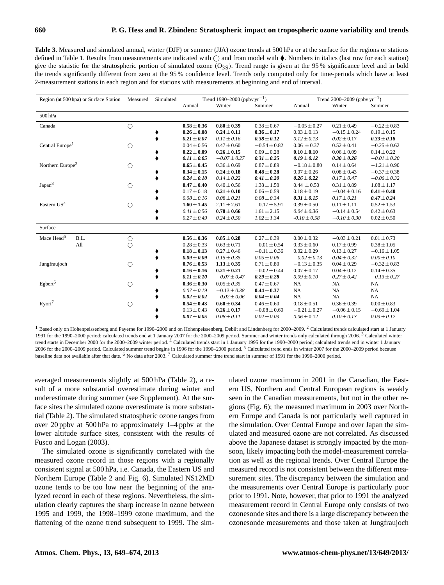**Table 3.** Measured and simulated annual, winter (DJF) or summer (JJA) ozone trends at 500 hPa or at the surface for the regions or stations defined in Table 1. Results from measurements are indicated with  $\bigcap$  and from model with  $\blacklozenge$ . Numbers in italics (last row for each station) give the statistic for the stratospheric portion of simulated ozone  $(O_{3S})$ . Trend range is given at the 95% significance level and in bold the trends significantly different from zero at the 95 % confidence level. Trends only computed only for time-periods which have at least 2-measurement stations in each region and for stations with measurements at beginning and end of interval.

| Region (at 500 hpa) or Surface Station | Measured<br>Simulated |  |                 | Trend 1990–2000 (ppby $yr^{-1}$ ) |                  | Trend 2000–2009 (ppbv yr <sup>-1</sup> ) |                  |                  |
|----------------------------------------|-----------------------|--|-----------------|-----------------------------------|------------------|------------------------------------------|------------------|------------------|
|                                        |                       |  | Annual          | Winter                            | Summer           | Annual                                   | Winter           | Summer           |
| 500 hPa                                |                       |  |                 |                                   |                  |                                          |                  |                  |
| Canada                                 | $\circ$               |  | $0.58 \pm 0.36$ | $0.80 \pm 0.39$                   | $0.38 \pm 0.67$  | $-0.05 \pm 0.27$                         | $0.21 \pm 0.49$  | $-0.22 \pm 0.83$ |
|                                        |                       |  | $0.26\pm0.08$   | $0.24 \pm 0.11$                   | $0.36 \pm 0.17$  | $0.03 \pm 0.13$                          | $-0.15 \pm 0.24$ | $0.19 \pm 0.15$  |
|                                        |                       |  | $0.21 \pm 0.07$ | $0.11 \pm 0.16$                   | $0.38 \pm 0.12$  | $0.12 \pm 0.13$                          | $0.02 \pm 0.17$  | $0.33 \pm 0.18$  |
| Central Europe <sup>1</sup>            | $\bigcirc$            |  | $0.04 \pm 0.56$ | $0.47 \pm 0.60$                   | $-0.54 \pm 0.82$ | $0.06 \pm 0.37$                          | $0.52 \pm 0.41$  | $-0.25 \pm 0.62$ |
|                                        |                       |  | $0.22 \pm 0.09$ | $0.26 \pm 0.15$                   | $0.09 \pm 0.28$  | $0.10 \pm 0.10$                          | $0.06 \pm 0.09$  | $0.14 \pm 0.22$  |
|                                        |                       |  | $0.11 \pm 0.05$ | $-0.07 \pm 0.27$                  | $0.31 \pm 0.25$  | $0.19 \pm 0.12$                          | $0.30 \pm 0.26$  | $-0.01 \pm 0.20$ |
| Northern Europe <sup>2</sup>           | $\circ$               |  | $0.65 \pm 0.45$ | $0.36 \pm 0.69$                   | $0.87 \pm 0.89$  | $-0.18 \pm 0.80$                         | $0.14 \pm 0.64$  | $-1.21 \pm 0.90$ |
|                                        |                       |  | $0.34 \pm 0.15$ | $0.24 \pm 0.18$                   | $0.48\pm0.28$    | $0.07 \pm 0.26$                          | $0.08 \pm 0.43$  | $-0.37 \pm 0.38$ |
|                                        |                       |  | $0.24 \pm 0.10$ | $0.14 \pm 0.22$                   | $0.41 \pm 0.20$  | $0.26 \pm 0.22$                          | $0.17 \pm 0.47$  | $-0.06 \pm 0.32$ |
| Japan <sup>3</sup>                     | $\circ$               |  | $0.47 \pm 0.40$ | $0.40 \pm 0.56$                   | $1.38 \pm 1.50$  | $0.44 \pm 0.50$                          | $0.31 \pm 0.89$  | $1.08 \pm 1.17$  |
|                                        |                       |  | $0.17 \pm 0.18$ | $0.21 \pm 0.10$                   | $0.06 \pm 0.59$  | $0.18 \pm 0.19$                          | $-0.04 \pm 0.16$ | $0.41 \pm 0.40$  |
|                                        |                       |  | $0.08 \pm 0.16$ | $0.08 \pm 0.21$                   | $0.08 \pm 0.34$  | $0.31 \pm 0.15$                          | $0.17 \pm 0.21$  | $0.47 \pm 0.24$  |
| Eastern $US^4$                         | $\bigcirc$            |  | $1.60 \pm 1.45$ | $2.11 \pm 2.61$                   | $-0.17 \pm 5.91$ | $0.39 \pm 0.50$                          | $0.11 \pm 1.11$  | $0.52 \pm 1.53$  |
|                                        |                       |  | $0.41 \pm 0.56$ | $0.78 \pm 0.66$                   | $1.61 \pm 2.15$  | $0.04 \pm 0.36$                          | $-0.14 \pm 0.54$ | $0.42 \pm 0.63$  |
|                                        |                       |  | $0.27 \pm 0.49$ | $0.24 \pm 0.50$                   | $1.02 \pm 1.34$  | $-0.10 \pm 0.58$                         | $-0.10 \pm 0.30$ | $0.02 \pm 0.50$  |
| Surface                                |                       |  |                 |                                   |                  |                                          |                  |                  |
| Mace Head <sup>5</sup><br>B.L.         | $\circ$               |  | $0.56 \pm 0.36$ | $0.85\pm0.28$                     | $0.27 \pm 0.39$  | $0.00 \pm 0.32$                          | $-0.03 \pm 0.21$ | $0.01 \pm 0.73$  |
| All                                    | $\bigcirc$            |  | $0.28 \pm 0.33$ | $0.63 \pm 0.71$                   | $-0.01 \pm 0.54$ | $0.33 \pm 0.60$                          | $0.17 \pm 0.99$  | $0.38 \pm 1.05$  |
|                                        |                       |  | $0.18 \pm 0.13$ | $0.27 \pm 0.46$                   | $-0.11 \pm 0.36$ | $0.02 \pm 0.29$                          | $0.13 \pm 0.27$  | $-0.16 \pm 1.05$ |
|                                        |                       |  | $0.09 \pm 0.09$ | $0.15 \pm 0.35$                   | $0.05 \pm 0.06$  | $-0.02 \pm 0.13$                         | $0.04 \pm 0.32$  | $0.00 \pm 0.10$  |
| Jungfraujoch                           | $\bigcirc$            |  | $0.76 \pm 0.53$ | $1.13 \pm 0.35$                   | $0.71 \pm 0.80$  | $-0.13 \pm 0.35$                         | $0.04 \pm 0.29$  | $-0.32 \pm 0.83$ |
|                                        |                       |  | $0.16 \pm 0.16$ | $0.21 \pm 0.21$                   | $-0.02 \pm 0.44$ | $0.07 \pm 0.17$                          | $0.04 \pm 0.12$  | $0.14 \pm 0.35$  |
|                                        |                       |  | $0.11 \pm 0.10$ | $-0.07 \pm 0.47$                  | $0.29 \pm 0.28$  | $0.09 \pm 0.10$                          | $0.27 \pm 0.42$  | $-0.13 \pm 0.27$ |
| Egbert <sup>6</sup>                    | $\bigcirc$            |  | $0.36 \pm 0.30$ | $0.05 \pm 0.35$                   | $0.47 \pm 0.67$  | NA                                       | <b>NA</b>        | <b>NA</b>        |
|                                        |                       |  | $0.07 \pm 0.19$ | $-0.13 \pm 0.38$                  | $0.44 \pm 0.37$  | NA                                       | <b>NA</b>        | NA               |
|                                        |                       |  | $0.02 \pm 0.02$ | $-0.02 \pm 0.06$                  | $0.04 \pm 0.04$  | NA                                       | NA               | <b>NA</b>        |
| $R$ yori <sup>7</sup>                  | $\circ$               |  | $0.54 \pm 0.43$ | $0.60 \pm 0.34$                   | $0.46 \pm 0.60$  | $0.18 \pm 0.51$                          | $0.36 \pm 0.39$  | $0.00 \pm 0.83$  |
|                                        |                       |  | $0.13 \pm 0.43$ | $0.26 \pm 0.17$                   | $-0.08 \pm 0.60$ | $-0.21 \pm 0.27$                         | $-0.06 \pm 0.15$ | $-0.69 \pm 1.04$ |
|                                        |                       |  | $0.07 \pm 0.05$ | $0.08 \pm 0.11$                   | $0.02 \pm 0.03$  | $0.06 \pm 0.12$                          | $0.10 \pm 0.13$  | $0.03 \pm 0.12$  |

<sup>1</sup> Based only on Hohenpeissenberg and Payerne for 1990–2000 and on Hohenpeissenberg, Debilt and Lindenberg for 2000–2009.<sup>2</sup> Calculated trends calculated start at 1 January 1991 for the 1990–2000 period; calculated trends end at 1 January 2007 for the 2000–2009 period. Summer and winter trends only calculated through 2006.<sup>3</sup> Calculated winter trend starts in December 2000 for the 2000-2009 winter period.<sup>4</sup> Calculated trends start in 1 January 1995 for the 1990-2000 period; calculated trends end in winter 1 January 2006 for the 2000–2009 period. Calculated summer trend begins in 1996 for the 1990–2000 period. <sup>5</sup> Calculated trend ends in winter 2007 for the 2000–2009 period because baseline data not available after that date. <sup>6</sup> No data after 2003. <sup>7</sup> Calculated summer time trend start in summer of 1991 for the 1990–2000 period.

averaged measurements slightly at 500 hPa (Table 2), a result of a more substantial overestimate during winter and underestimate during summer (see Supplement). At the surface sites the simulated ozone overestimate is more substantial (Table 2). The simulated stratospheric ozone ranges from over 20 ppbv at 500 hPa to approximately 1–4 ppbv at the lower altitude surface sites, consistent with the results of Fusco and Logan (2003).

The simulated ozone is significantly correlated with the measured ozone record in those regions with a regionally consistent signal at 500 hPa, i.e. Canada, the Eastern US and Northern Europe (Table 2 and Fig. 6). Simulated NS12MD ozone tends to be too low near the beginning of the analyzed record in each of these regions. Nevertheless, the simulation clearly captures the sharp increase in ozone between 1995 and 1999, the 1998–1999 ozone maximum, and the flattening of the ozone trend subsequent to 1999. The simulated ozone maximum in 2001 in the Canadian, the Eastern US, Northern and Central European regions is weakly seen in the Canadian measurements, but not in the other regions (Fig. 6); the measured maximum in 2003 over Northern Europe and Canada is not particularly well captured in the simulation. Over Central Europe and over Japan the simulated and measured ozone are not correlated. As discussed above the Japanese dataset is strongly impacted by the monsoon, likely impacting both the model-measurement correlation as well as the regional trends. Over Central Europe the measured record is not consistent between the different measurement sites. The discrepancy between the simulation and the measurements over Central Europe is particularly poor prior to 1991. Note, however, that prior to 1991 the analyzed measurement record in Central Europe only consists of two ozonesonde sites and there is a large discrepancy between the ozonesonde measurements and those taken at Jungfraujoch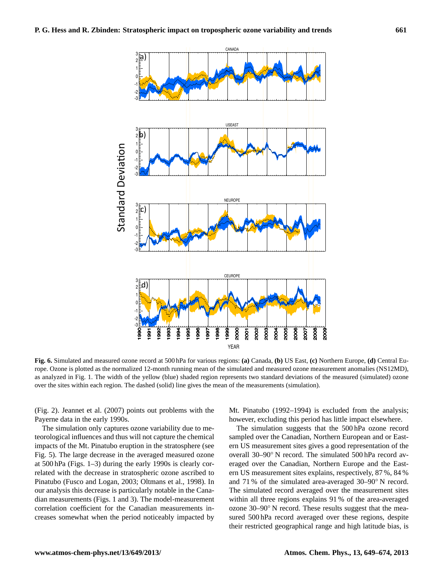

**Fig. 6.** Simulated and measured ozone record at 500 hPa for various regions: **(a)** Canada, **(b)** US East, **(c)** Northern Europe, **(d)** Central Europe. Ozone is plotted as the normalized 12-month running mean of the simulated and measured ozone measurement anomalies (NS12MD), as analyzed in Fig. 1. The width of the yellow (blue) shaded region represents two standard deviations of the measured (simulated) ozone over the sites within each region. The dashed (solid) line gives the mean of the measurements (simulation).

(Fig. 2). Jeannet et al. (2007) points out problems with the Payerne data in the early 1990s.

The simulation only captures ozone variability due to meteorological influences and thus will not capture the chemical impacts of the Mt. Pinatubo eruption in the stratosphere (see Fig. 5). The large decrease in the averaged measured ozone at 500 hPa (Figs. 1–3) during the early 1990s is clearly correlated with the decrease in stratospheric ozone ascribed to Pinatubo (Fusco and Logan, 2003; Oltmans et al., 1998). In our analysis this decrease is particularly notable in the Canadian measurements (Figs. 1 and 3). The model-measurement correlation coefficient for the Canadian measurements increases somewhat when the period noticeably impacted by

Mt. Pinatubo (1992–1994) is excluded from the analysis; however, excluding this period has little impact elsewhere.

The simulation suggests that the 500 hPa ozone record sampled over the Canadian, Northern European and or Eastern US measurement sites gives a good representation of the overall 30–90◦ N record. The simulated 500 hPa record averaged over the Canadian, Northern Europe and the Eastern US measurement sites explains, respectively, 87 %, 84 % and 71 % of the simulated area-averaged 30–90◦ N record. The simulated record averaged over the measurement sites within all three regions explains 91 % of the area-averaged ozone 30–90◦ N record. These results suggest that the measured 500 hPa record averaged over these regions, despite their restricted geographical range and high latitude bias, is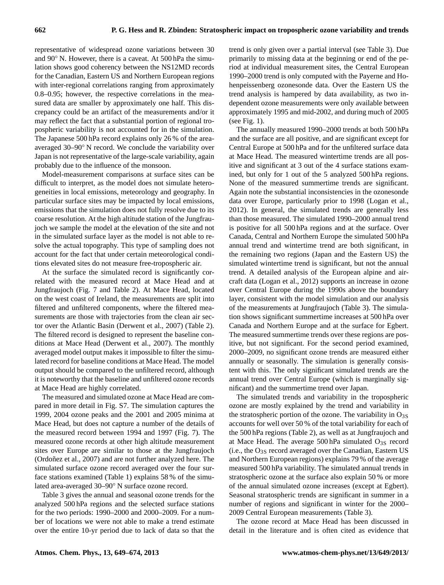representative of widespread ozone variations between 30 and 90<sup>°</sup> N. However, there is a caveat. At 500 hPa the simulation shows good coherency between the NS12MD records for the Canadian, Eastern US and Northern European regions with inter-regional correlations ranging from approximately 0.8–0.95; however, the respective correlations in the measured data are smaller by approximately one half. This discrepancy could be an artifact of the measurements and/or it may reflect the fact that a substantial portion of regional tropospheric variability is not accounted for in the simulation. The Japanese 500 hPa record explains only 26 % of the areaaveraged 30–90◦ N record. We conclude the variability over Japan is not representative of the large-scale variability, again probably due to the influence of the monsoon.

Model-measurement comparisons at surface sites can be difficult to interpret, as the model does not simulate heterogeneities in local emissions, meteorology and geography. In particular surface sites may be impacted by local emissions, emissions that the simulation does not fully resolve due to its coarse resolution. At the high altitude station of the Jungfraujoch we sample the model at the elevation of the site and not in the simulated surface layer as the model is not able to resolve the actual topography. This type of sampling does not account for the fact that under certain meteorological conditions elevated sites do not measure free-tropospheric air.

At the surface the simulated record is significantly correlated with the measured record at Mace Head and at Jungfraujoch (Fig. 7 and Table 2). At Mace Head, located on the west coast of Ireland, the measurements are split into filtered and unfiltered components, where the filtered measurements are those with trajectories from the clean air sector over the Atlantic Basin (Derwent et al., 2007) (Table 2). The filtered record is designed to represent the baseline conditions at Mace Head (Derwent et al., 2007). The monthly averaged model output makes it impossible to filter the simulated record for baseline conditions at Mace Head. The model output should be compared to the unfiltered record, although it is noteworthy that the baseline and unfiltered ozone records at Mace Head are highly correlated.

The measured and simulated ozone at Mace Head are compared in more detail in Fig. S7. The simulation captures the 1999, 2004 ozone peaks and the 2001 and 2005 minima at Mace Head, but does not capture a number of the details of the measured record between 1994 and 1997 (Fig. 7). The measured ozone records at other high altitude measurement sites over Europe are similar to those at the Jungfraujoch (Ordoñez et al., 2007) and are not further analyzed here. The simulated surface ozone record averaged over the four surface stations examined (Table 1) explains 58 % of the simulated area-averaged 30–90◦ N surface ozone record.

Table 3 gives the annual and seasonal ozone trends for the analyzed 500 hPa regions and the selected surface stations for the two periods: 1990–2000 and 2000–2009. For a number of locations we were not able to make a trend estimate over the entire 10-yr period due to lack of data so that the trend is only given over a partial interval (see Table 3). Due primarily to missing data at the beginning or end of the period at individual measurement sites, the Central European 1990–2000 trend is only computed with the Payerne and Hohenpeissenberg ozonesonde data. Over the Eastern US the trend analysis is hampered by data availability, as two independent ozone measurements were only available between approximately 1995 and mid-2002, and during much of 2005 (see Fig. 1).

The annually measured 1990–2000 trends at both 500 hPa and the surface are all positive, and are significant except for Central Europe at 500 hPa and for the unfiltered surface data at Mace Head. The measured wintertime trends are all positive and significant at 3 out of the 4 surface stations examined, but only for 1 out of the 5 analyzed 500 hPa regions. None of the measured summertime trends are significant. Again note the substantial inconsistencies in the ozonesonde data over Europe, particularly prior to 1998 (Logan et al., 2012). In general, the simulated trends are generally less than those measured. The simulated 1990–2000 annual trend is positive for all 500 hPa regions and at the surface. Over Canada, Central and Northern Europe the simulated 500 hPa annual trend and wintertime trend are both significant, in the remaining two regions (Japan and the Eastern US) the simulated wintertime trend is significant, but not the annual trend. A detailed analysis of the European alpine and aircraft data (Logan et al., 2012) supports an increase in ozone over Central Europe during the 1990s above the boundary layer, consistent with the model simulation and our analysis of the measurements at Jungfraujoch (Table 3). The simulation shows significant summertime increases at 500 hPa over Canada and Northern Europe and at the surface for Egbert. The measured summertime trends over these regions are positive, but not significant. For the second period examined, 2000–2009, no significant ozone trends are measured either annually or seasonally. The simulation is generally consistent with this. The only significant simulated trends are the annual trend over Central Europe (which is marginally significant) and the summertime trend over Japan.

The simulated trends and variability in the tropospheric ozone are mostly explained by the trend and variability in the stratospheric portion of the ozone. The variability in  $O_{3S}$ accounts for well over 50 % of the total variability for each of the 500 hPa regions (Table 2), as well as at Jungfraujoch and at Mace Head. The average  $500$  hPa simulated  $O_{3S}$  record (i.e., the O3S record averaged over the Canadian, Eastern US and Northern European regions) explains 79 % of the average measured 500 hPa variability. The simulated annual trends in stratospheric ozone at the surface also explain 50 % or more of the annual simulated ozone increases (except at Egbert). Seasonal stratospheric trends are significant in summer in a number of regions and significant in winter for the 2000– 2009 Central European measurements (Table 3).

The ozone record at Mace Head has been discussed in detail in the literature and is often cited as evidence that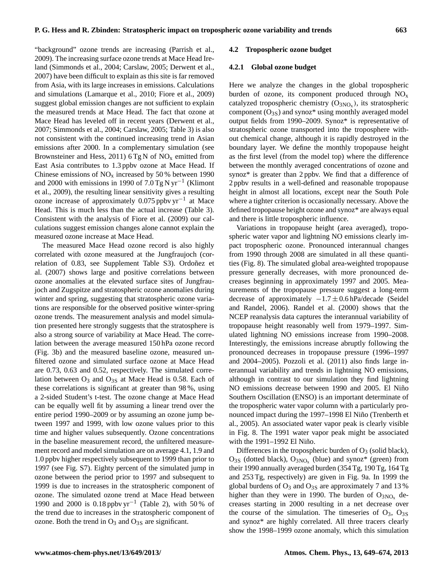"background" ozone trends are increasing (Parrish et al., 2009). The increasing surface ozone trends at Mace Head Ireland (Simmonds et al., 2004; Carslaw, 2005; Derwent et al., 2007) have been difficult to explain as this site is far removed from Asia, with its large increases in emissions. Calculations and simulations (Lamarque et al., 2010; Fiore et al., 2009) suggest global emission changes are not sufficient to explain the measured trends at Mace Head. The fact that ozone at Mace Head has leveled off in recent years (Derwent et al., 2007; Simmonds et al., 2004; Carslaw, 2005; Table 3) is also not consistent with the continued increasing trend in Asian emissions after 2000. In a complementary simulation (see Brownsteiner and Hess, 2011) 6 Tg N of  $NO<sub>x</sub>$  emitted from East Asia contributes to 1.3 ppbv ozone at Mace Head. If Chinese emissions of  $NO<sub>x</sub>$  increased by 50% between 1990 and 2000 with emissions in 1990 of 7.0 Tg N yr−<sup>1</sup> (Klimont et al., 2009), the resulting linear sensitivity gives a resulting ozone increase of approximately  $0.075$  ppbv yr<sup>-1</sup> at Mace Head. This is much less than the actual increase (Table 3). Consistent with the analysis of Fiore et al. (2009) our calculations suggest emission changes alone cannot explain the measured ozone increase at Mace Head.

The measured Mace Head ozone record is also highly correlated with ozone measured at the Jungfraujoch (correlation of 0.83, see Supplement Table S3). Ordoñez et al. (2007) shows large and positive correlations between ozone anomalies at the elevated surface sites of Jungfraujoch and Zugspitze and stratospheric ozone anomalies during winter and spring, suggesting that stratospheric ozone variations are responsible for the observed positive winter-spring ozone trends. The measurement analysis and model simulation presented here strongly suggests that the stratosphere is also a strong source of variability at Mace Head. The correlation between the average measured 150 hPa ozone record (Fig. 3b) and the measured baseline ozone, measured unfiltered ozone and simulated surface ozone at Mace Head are 0.73, 0.63 and 0.52, respectively. The simulated correlation between  $O_3$  and  $O_{3S}$  at Mace Head is 0.58. Each of these correlations is significant at greater than 98 %, using a 2-sided Student's t-test. The ozone change at Mace Head can be equally well fit by assuming a linear trend over the entire period 1990–2009 or by assuming an ozone jump between 1997 and 1999, with low ozone values prior to this time and higher values subsequently. Ozone concentrations in the baseline measurement record, the unfiltered measurement record and model simulation are on average 4.1, 1.9 and 1.0 ppbv higher respectively subsequent to 1999 than prior to 1997 (see Fig. S7). Eighty percent of the simulated jump in ozone between the period prior to 1997 and subsequent to 1999 is due to increases in the stratospheric component of ozone. The simulated ozone trend at Mace Head between 1990 and 2000 is 0.18 ppbv yr−<sup>1</sup> (Table 2), with 50 % of the trend due to increases in the stratospheric component of ozone. Both the trend in  $O_3$  and  $O_{3S}$  are significant.

## **4.2 Tropospheric ozone budget**

#### **4.2.1 Global ozone budget**

Here we analyze the changes in the global tropospheric burden of ozone, its component produced through  $NO<sub>x</sub>$ catalyzed tropospheric chemistry  $(O_{3NO_x})$ , its stratospheric component  $(O_{3S})$  and synoz\* using monthly averaged model output fields from 1990–2009. Synoz\* is representative of stratospheric ozone transported into the troposphere without chemical change, although it is rapidly destroyed in the boundary layer. We define the monthly tropopause height as the first level (from the model top) where the difference between the monthly averaged concentrations of ozone and synoz\* is greater than 2 ppbv. We find that a difference of 2 ppbv results in a well-defined and reasonable tropopause height in almost all locations, except near the South Pole where a tighter criterion is occasionally necessary. Above the defined tropopause height ozone and synoz\* are always equal and there is little tropospheric influence.

Variations in tropopause height (area averaged), tropospheric water vapor and lightning NO emissions clearly impact tropospheric ozone. Pronounced interannual changes from 1990 through 2008 are simulated in all these quantities (Fig. 8). The simulated global area-weighted tropopause pressure generally decreases, with more pronounced decreases beginning in approximately 1997 and 2005. Measurements of the tropopause pressure suggest a long-term decrease of approximately  $-1.7 \pm 0.6$  hPa/decade (Seidel and Randel, 2006). Randel et al. (2000) shows that the NCEP reanalysis data captures the interannual variability of tropopause height reasonably well from 1979–1997. Simulated lightning NO emissions increase from 1990–2008. Interestingly, the emissions increase abruptly following the pronounced decreases in tropopause pressure (1996–1997 and 2004–2005). Pozzoli et al. (2011) also finds large interannual variability and trends in lightning NO emissions, although in contrast to our simulation they find lightning NO emissions decrease between 1990 and 2005. El Niño Southern Oscillation (ENSO) is an important determinate of the tropospheric water vapor column with a particularly pronounced impact during the 1997–1998 El Niño (Trenberth et al., 2005). An associated water vapor peak is clearly visible in Fig. 8. The 1991 water vapor peak might be associated with the 1991–1992 El Niño.

Differences in the tropospheric burden of  $O_3$  (solid black),  $O_{3S}$  (dotted black),  $O_{3NO_x}$  (blue) and synoz\* (green) from their 1990 annually averaged burden (354 Tg, 190 Tg, 164 Tg and 253 Tg, respectively) are given in Fig. 9a. In 1999 the global burdens of  $O_3$  and  $O_{3S}$  are approximately 7 and 13% higher than they were in 1990. The burden of  $O_{3NO<sub>x</sub>}$  decreases starting in 2000 resulting in a net decrease over the course of the simulation. The timeseries of  $O_3$ ,  $O_{35}$ and synoz\* are highly correlated. All three tracers clearly show the 1998–1999 ozone anomaly, which this simulation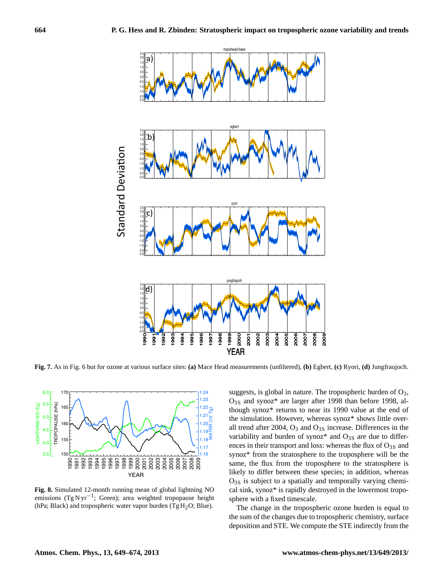

**Fig. 7.** As in Fig. 6 but for ozone at various surface sites: **(a)** Mace Head measurements (unfiltered), **(b)** Egbert, **(c)** Ryori, **(d)** Jungfraujoch.



**Fig. 8.** Simulated 12-month running mean of global lightning NO emissions (Tg N yr<sup>-1</sup>; Green); area weighted tropopause height (hPa; Black) and tropospheric water vapor burden (Tg  $H_2O$ ; Blue).

suggests, is global in nature. The tropospheric burden of  $O_3$ , O3S and synoz\* are larger after 1998 than before 1998, although synoz\* returns to near its 1990 value at the end of the simulation. However, whereas synoz\* shows little overall trend after 2004,  $O_3$  and  $O_{3S}$  increase. Differences in the variability and burden of synoz\* and  $O_{3S}$  are due to differences in their transport and loss: whereas the flux of  $O_{3S}$  and synoz\* from the stratosphere to the troposphere will be the same, the flux from the troposphere to the stratosphere is likely to differ between these species; in addition, whereas O3S is subject to a spatially and temporally varying chemical sink, synoz\* is rapidly destroyed in the lowermost troposphere with a fixed timescale.

The change in the tropospheric ozone burden is equal to the sum of the changes due to tropospheric chemistry, surface deposition and STE. We compute the STE indirectly from the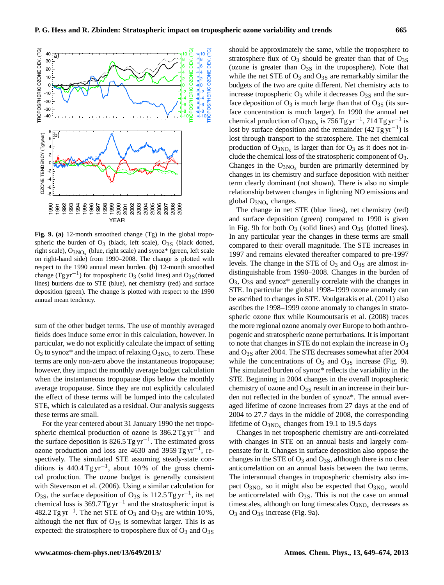

**Fig. 9. (a)** 12-month smoothed change (Tg) in the global tropospheric the burden of  $O_3$  (black, left scale),  $O_{3S}$  (black dotted, right scale),  $O_{3NO<sub>x</sub>}$  (blue, right scale) and synoz\* (green, left scale on right-hand side) from 1990–2008. The change is plotted with respect to the 1990 annual mean burden. **(b)** 12-month smoothed change (Tg yr<sup>-1</sup>) for tropospheric O<sub>3</sub> (solid lines) and O<sub>3S</sub>(dotted lines) burdens due to STE (blue), net chemistry (red) and surface deposition (green). The change is plotted with respect to the 1990 annual mean tendency.

sum of the other budget terms. The use of monthly averaged fields does induce some error in this calculation, however. In particular, we do not explicitly calculate the impact of setting  $O_3$  to synoz\* and the impact of relaxing  $O_{3NO_x}$  to zero. These terms are only non-zero above the instantaneous tropopause; however, they impact the monthly average budget calculation when the instantaneous tropopause dips below the monthly average tropopause. Since they are not explicitly calculated the effect of these terms will be lumped into the calculated STE, which is calculated as a residual. Our analysis suggests these terms are small.

For the year centered about 31 January 1990 the net tropospheric chemical production of ozone is 386.2 Tg yr<sup>-1</sup> and the surface deposition is  $826.5$  Tg yr<sup>-1</sup>. The estimated gross ozone production and loss are 4630 and 3959 Tg yr<sup>-1</sup>, respectively. The simulated STE assuming steady-state conditions is 440.4 Tg yr−<sup>1</sup> , about 10 % of the gross chemical production. The ozone budget is generally consistent with Stevenson et al. (2006). Using a similar calculation for O<sub>3S</sub>, the surface deposition of O<sub>3S</sub> is 112.5 Tg yr<sup>-1</sup>, its net chemical loss is  $369.7$  Tg yr<sup>-1</sup> and the stratospheric input is  $482.2$  Tg yr<sup>-1</sup>. The net STE of O<sub>3</sub> and O<sub>3S</sub> are within 10%, although the net flux of  $O_{3S}$  is somewhat larger. This is as expected: the stratosphere to troposphere flux of  $O_3$  and  $O_{3S}$ 

should be approximately the same, while the troposphere to stratosphere flux of  $O_3$  should be greater than that of  $O_{3S}$ (ozone is greater than  $O_{3S}$  in the troposphere). Note that while the net STE of  $O_3$  and  $O_{3S}$  are remarkably similar the budgets of the two are quite different. Net chemistry acts to increase tropospheric  $O_3$  while it decreases  $O_{3S}$  and the surface deposition of  $O_3$  is much large than that of  $O_{3S}$  (its surface concentration is much larger). In 1990 the annual net chemical production of  $O_{3NO_x}$  is 756 Tg yr<sup>-1</sup>, 714 Tg yr<sup>-1</sup> is lost by surface deposition and the remainder  $(42 \text{ Tg yr}^{-1})$  is lost through transport to the stratosphere. The net chemical production of  $O_{3NO_x}$  is larger than for  $O_3$  as it does not include the chemical loss of the stratospheric component of O3. Changes in the  $O_{3NO<sub>x</sub>}$  burden are primarily determined by changes in its chemistry and surface deposition with neither term clearly dominant (not shown). There is also no simple relationship between changes in lightning NO emissions and global  $O_{3NO<sub>x</sub>}$  changes.

The change in net STE (blue lines), net chemistry (red) and surface deposition (green) compared to 1990 is given in Fig. 9b for both  $O_3$  (solid lines) and  $O_{3S}$  (dotted lines). In any particular year the changes in these terms are small compared to their overall magnitude. The STE increases in 1997 and remains elevated thereafter compared to pre-1997 levels. The change in the STE of  $O_3$  and  $O_{3S}$  are almost indistinguishable from 1990–2008. Changes in the burden of  $O_3$ ,  $O_{3S}$  and synoz\* generally correlate with the changes in STE. In particular the global 1998–1999 ozone anomaly can be ascribed to changes in STE. Voulgarakis et al. (2011) also ascribes the 1998–1999 ozone anomaly to changes in stratospheric ozone flux while Koumoutsaris et al. (2008) traces the more regional ozone anomaly over Europe to both anthropogenic and stratospheric ozone perturbations. It is important to note that changes in STE do not explain the increase in  $O_3$ and O3S after 2004. The STE decreases somewhat after 2004 while the concentrations of  $O_3$  and  $O_{3S}$  increase (Fig. 9). The simulated burden of synoz\* reflects the variability in the STE. Beginning in 2004 changes in the overall tropospheric chemistry of ozone and  $O_{3S}$  result in an increase in their burden not reflected in the burden of synoz\*. The annual averaged lifetime of ozone increases from 27 days at the end of 2004 to 27.7 days in the middle of 2008, the corresponding lifetime of  $O_{3NO<sub>x</sub>}$  changes from 19.1 to 19.5 days

Changes in net tropospheric chemistry are anti-correlated with changes in STE on an annual basis and largely compensate for it. Changes in surface deposition also oppose the changes in the STE of  $O_3$  and  $O_{3S}$ , although there is no clear anticorrelattion on an annual basis between the two terms. The interannual changes in tropospheric chemistry also impact  $O_{3NO_x}$  so it might also be expected that  $O_{3NO_x}$  would be anticorrelated with  $O_{3S}$ . This is not the case on annual timescales, although on long timescales  $O_{3NO<sub>x</sub>}$  decreases as  $O_3$  and  $O_{3S}$  increase (Fig. 9a).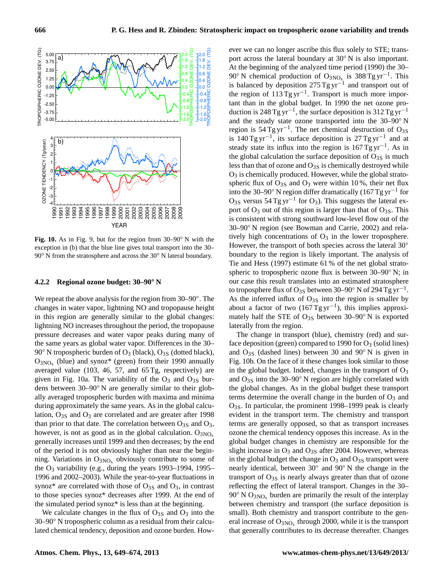

**Fig. 10.** As in Fig. 9, but for the region from 30–90◦ N with the exception in (b) that the blue line gives total transport into the 30– 90<sup>°</sup> N from the stratosphere and across the 30<sup>°</sup> N lateral boundary.

#### **4.2.2 Regional ozone budget: 30–90**◦ **N**

We repeat the above analysis for the region from 30–90°. The changes in water vapor, lightning NO and tropopause height in this region are generally similar to the global changes: lightning NO increases throughout the period, the tropopause pressure decreases and water vapor peaks during many of the same years as global water vapor. Differences in the 30– 90 $\degree$  N tropospheric burden of O<sub>3</sub> (black), O<sub>3S</sub> (dotted black),  $O_{3NO_x}$  (blue) and synoz\* (green) from their 1990 annually averaged value (103, 46, 57, and 65 Tg, respectively) are given in Fig. 10a. The variability of the  $O_3$  and  $O_{3S}$  burdens between 30–90◦ N are generally similar to their globally averaged tropospheric burden with maxima and minima during approximately the same years. As in the global calculation,  $O_{3S}$  and  $O_3$  are correlated and are greater after 1998 than prior to that date. The correlation between  $O_{3S}$  and  $O_3$ , however, is not as good as in the global calculation.  $O_{3NO_x}$ generally increases until 1999 and then decreases; by the end of the period it is not obviously higher than near the beginning. Variations in  $O_{3NO<sub>x</sub>}$  obviously contribute to some of the  $O_3$  variability (e.g., during the years 1993–1994, 1995– 1996 and 2002–2003). While the year-to-year fluctuations in synoz\* are correlated with those of  $O_{3S}$  and  $O_3$ , in contrast to those species synoz\* decreases after 1999. At the end of the simulated period synoz\* is less than at the beginning.

We calculate changes in the flux of  $O_{3S}$  and  $O_3$  into the 30–90◦ N tropospheric column as a residual from their calculated chemical tendency, deposition and ozone burden. However we can no longer ascribe this flux solely to STE; transport across the lateral boundary at 30◦ N is also important. At the beginning of the analyzed time period (1990) the 30– 90° N chemical production of O<sub>3NOx</sub> is 388 Tg yr<sup>-1</sup>. This is balanced by deposition  $275$  Tg yr<sup>-1</sup> and transport out of the region of 113 Tg yr−<sup>1</sup> . Transport is much more important than in the global budget. In 1990 the net ozone production is 248 Tg yr<sup>-1</sup>, the surface deposition is 312 Tg yr<sup>-1</sup> and the steady state ozone transported into the 30–90◦ N region is  $54 \text{ Tg yr}^{-1}$ . The net chemical destruction of O<sub>3S</sub> is 140 Tg yr<sup>-1</sup>, its surface deposition is 27 Tg yr<sup>-1</sup> and at steady state its influx into the region is  $167$  Tg yr<sup>-1</sup>. As in the global calculation the surface deposition of  $O_{3S}$  is much less than that of ozone and  $O_{3S}$  is chemically destroyed while  $O<sub>3</sub>$  is chemically produced. However, while the global stratospheric flux of  $O_{3S}$  and  $O_3$  were within 10%, their net flux into the 30–90◦ N region differ dramatically (167 Tg yr−<sup>1</sup> for  $O_{3S}$  versus 54 Tg yr<sup>-1</sup> for  $O_3$ ). This suggests the lateral export of  $O_3$  out of this region is larger than that of  $O_{3S}$ . This is consistent with strong southward low-level flow out of the 30–90◦ N region (see Bowman and Carrie, 2002) and relatively high concentrations of  $O_3$  in the lower troposphere. However, the transport of both species across the lateral 30° boundary to the region is likely important. The analysis of Tie and Hess (1997) estimate 61 % of the net global stratospheric to tropospheric ozone flux is between 30–90<sup>°</sup> N; in our case this result translates into an estimated stratosphere to troposphere flux of O<sub>3S</sub> between 30–90° N of 294 Tg yr<sup>-1</sup>. As the inferred influx of  $O_{3S}$  into the region is smaller by about a factor of two  $(167 \text{ Tg yr}^{-1})$ , this implies approximately half the STE of  $O_{3S}$  between 30–90 $\textdegree$  N is exported laterally from the region.

The change in transport (blue), chemistry (red) and surface deposition (green) compared to 1990 for  $O_3$  (solid lines) and  $O_{3S}$  (dashed lines) between 30 and 90 $\degree$  N is given in Fig. 10b. On the face of it these changes look similar to those in the global budget. Indeed, changes in the transport of  $O<sub>3</sub>$ and  $O_{3S}$  into the 30–90 $\degree$  N region are highly correlated with the global changes. As in the global budget these transport terms determine the overall change in the burden of  $O_3$  and O3S. In particular, the prominent 1998–1999 peak is clearly evident in the transport term. The chemistry and transport terms are generally opposed, so that as transport increases ozone the chemical tendency opposes this increase. As in the global budget changes in chemistry are responsible for the slight increase in  $O_3$  and  $O_{3S}$  after 2004. However, whereas in the global budget the change in  $O_3$  and  $O_{3S}$  transport were nearly identical, between 30◦ and 90◦ N the change in the transport of  $O_{3S}$  is nearly always greater than that of ozone reflecting the effect of lateral transport. Changes in the 30– 90 $\degree$  N O<sub>3NOx</sub> burden are primarily the result of the interplay between chemistry and transport (the surface deposition is small). Both chemistry and transport contribute to the general increase of  $O_{3NO_x}$  through 2000, while it is the transport that generally contributes to its decrease thereafter. Changes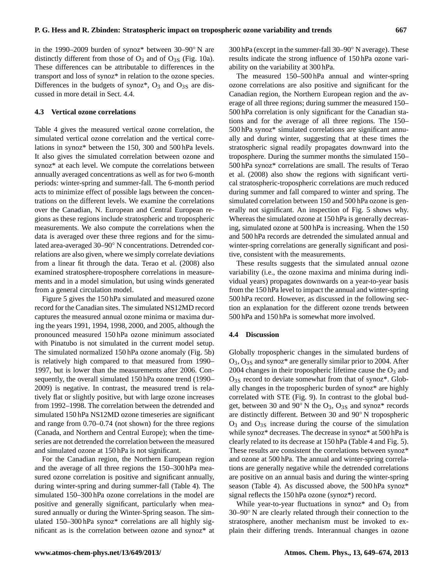in the 1990–2009 burden of synoz\* between 30–90◦ N are distinctly different from those of  $O_3$  and of  $O_{3S}$  (Fig. 10a). These differences can be attributable to differences in the transport and loss of synoz\* in relation to the ozone species. Differences in the budgets of synoz\*,  $O_3$  and  $O_{3S}$  are discussed in more detail in Sect. 4.4.

## **4.3 Vertical ozone correlations**

Table 4 gives the measured vertical ozone correlation, the simulated vertical ozone correlation and the vertical correlations in synoz\* between the 150, 300 and 500 hPa levels. It also gives the simulated correlation between ozone and synoz\* at each level. We compute the correlations between annually averaged concentrations as well as for two 6-month periods: winter-spring and summer-fall. The 6-month period acts to minimize effect of possible lags between the concentrations on the different levels. We examine the correlations over the Canadian, N. European and Central European regions as these regions include stratospheric and tropospheric measurements. We also compute the correlations when the data is averaged over these three regions and for the simulated area-averaged 30–90◦ N concentrations. Detrended correlations are also given, where we simply correlate deviations from a linear fit through the data. Terao et al. (2008) also examined stratosphere-troposphere correlations in measurements and in a model simulation, but using winds generated from a general circulation model.

Figure 5 gives the 150 hPa simulated and measured ozone record for the Canadian sites. The simulated NS12MD record captures the measured annual ozone minima or maxima during the years 1991, 1994, 1998, 2000, and 2005, although the pronounced measured 150 hPa ozone minimum associated with Pinatubo is not simulated in the current model setup. The simulated normalized 150 hPa ozone anomaly (Fig. 5b) is relatively high compared to that measured from 1990– 1997, but is lower than the measurements after 2006. Consequently, the overall simulated 150 hPa ozone trend (1990– 2009) is negative. In contrast, the measured trend is relatively flat or slightly positive, but with large ozone increases from 1992–1998. The correlation between the detrended and simulated 150 hPa NS12MD ozone timeseries are significant and range from 0.70–0.74 (not shown) for the three regions (Canada, and Northern and Central Europe); when the timeseries are not detrended the correlation between the measured and simulated ozone at 150 hPa is not significant.

For the Canadian region, the Northern European region and the average of all three regions the 150–300 hPa measured ozone correlation is positive and significant annually, during winter-spring and during summer-fall (Table 4). The simulated 150–300 hPa ozone correlations in the model are positive and generally significant, particularly when measured annually or during the Winter-Spring season. The simulated 150–300 hPa synoz\* correlations are all highly significant as is the correlation between ozone and synoz\* at 300 hPa (except in the summer-fall 30–90◦ N average). These results indicate the strong influence of 150 hPa ozone variability on the variability at 300 hPa.

The measured 150–500 hPa annual and winter-spring ozone correlations are also positive and significant for the Canadian region, the Northern European region and the average of all three regions; during summer the measured 150– 500 hPa correlation is only significant for the Canadian stations and for the average of all three regions. The 150– 500 hPa synoz\* simulated correlations are significant annually and during winter, suggesting that at these times the stratospheric signal readily propagates downward into the troposphere. During the summer months the simulated 150– 500 hPa synoz\* correlations are small. The results of Terao et al. (2008) also show the regions with significant vertical stratospheric-tropospheric correlations are much reduced during summer and fall compared to winter and spring. The simulated correlation between 150 and 500 hPa ozone is generally not significant. An inspection of Fig. 5 shows why. Whereas the simulated ozone at 150 hPa is generally decreasing, simulated ozone at 500 hPa is increasing. When the 150 and 500 hPa records are detrended the simulated annual and winter-spring correlations are generally significant and positive, consistent with the measurements.

These results suggests that the simulated annual ozone variability (i.e., the ozone maxima and minima during individual years) propagates downwards on a year-to-year basis from the 150 hPa level to impact the annual and winter-spring 500 hPa record. However, as discussed in the following section an explanation for the different ozone trends between 500 hPa and 150 hPa is somewhat more involved.

#### **4.4 Discussion**

Globally tropospheric changes in the simulated burdens of  $O_3$ ,  $O_{3S}$  and synoz\* are generally similar prior to 2004. After 2004 changes in their tropospheric lifetime cause the  $O_3$  and  $O_{3S}$  record to deviate somewhat from that of synoz\*. Globally changes in the tropospheric burden of synoz\* are highly correlated with STE (Fig. 9). In contrast to the global budget, between 30 and 90 $\degree$  N the O<sub>3</sub>, O<sub>3S</sub> and synoz\* records are distinctly different. Between 30 and 90◦ N tropospheric  $O_3$  and  $O_{3S}$  increase during the course of the simulation while synoz\* decreases. The decrease in synoz\* at 500 hPa is clearly related to its decrease at 150 hPa (Table 4 and Fig. 5). These results are consistent the correlations between synoz\* and ozone at 500 hPa. The annual and winter-spring correlations are generally negative while the detrended correlations are positive on an annual basis and during the winter-spring season (Table 4). As discussed above, the 500 hPa synoz\* signal reflects the 150 hPa ozone (synoz\*) record.

While year-to-year fluctuations in synoz\* and  $O_3$  from 30–90◦ N are clearly related through their connection to the stratosphere, another mechanism must be invoked to explain their differing trends. Interannual changes in ozone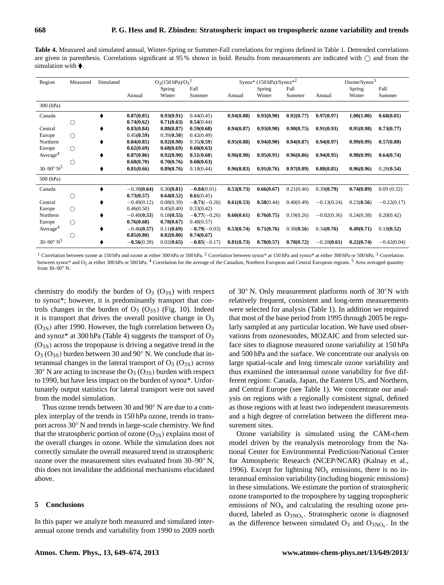**668 P. G. Hess and R. Zbinden: Stratospheric impact on tropospheric ozone variability and trends**

**Table 4.** Measured and simulated annual, Winter-Spring or Summer-Fall correlations for regions defined in Table 1. Detrended correlations are given in parenthesis. Correlations significant at 95% shown in bold. Results from measurements are indicated with  $\bigcirc$  and from the simulation with  $\blacklozenge$ .

| Region                           | Measured   | Simulated | $O_3(150hPa)/O_3^{-1}$ |            |                | $Synoz*$ (150 hPa)/Synoz*2 |            |            |               | Ozone/Synoz <sup>3</sup> |               |
|----------------------------------|------------|-----------|------------------------|------------|----------------|----------------------------|------------|------------|---------------|--------------------------|---------------|
|                                  |            |           |                        | Spring     | Fall           |                            | Spring     | Fall       |               | Spring                   | Fall          |
|                                  |            |           | Annual                 | Winter     | Summer         | Annual                     | Winter     | Summer     | Annual        | Winter                   | Summer        |
| 300 (hPa)                        |            |           |                        |            |                |                            |            |            |               |                          |               |
| Canada                           |            |           | 0.87(0.85)             | 0.93(0.91) | 0.44(0.45)     | 0.94(0.88)                 | 0.93(0.90) | 0.92(0.77) | 0.97(0.97)    | 1.00(1.00)               | 0.68(0.81)    |
|                                  | O          |           | 0.74(0.62)             | 0.71(0.63) | 0.54(0.44)     |                            |            |            |               |                          |               |
| Central                          |            |           | 0.83(0.84)             | 0.88(0.87) | 0.59(0.68)     | 0.94(0.87)                 | 0.93(0.90) | 0.90(0.75) | 0.91(0.93)    | 0.95(0.98)               | 0.73(0.77)    |
| Europe                           | ◯          |           | 0.45(0.59)             | 0.39(0.50) | 0.42(0.49)     |                            |            |            |               |                          |               |
| Northern                         |            |           | 0.84(0.85)             | 0.92(0.90) | 0.35(0.59)     | 0.95(0.88)                 | 0.94(0.90) | 0.94(0.87) | 0.94(0.97)    | 0.99(0.99)               | 0.57(0.80)    |
| Europe                           | ∩          |           | 0.62(0.69)             | 0.68(0.69) | 0.60(0.63)     |                            |            |            |               |                          |               |
| Average <sup>4</sup>             |            |           | 0.87(0.86)             | 0.92(0.90) | 0.51(0.60)     | 0.96(0.90)                 | 0.95(0.91) | 0.96(0.86) | 0.94(0.95)    | 0.98(0.99)               | 0.64(0.74)    |
|                                  | $\bigcirc$ |           | 0.68(0.70)             | 0.70(0.76) | 0.60(0.63)     |                            |            |            |               |                          |               |
| 30-90 $^{\circ}$ N <sup>5</sup>  |            |           | 0.81(0.66)             | 0.89(0.76) | 0.18(0.44)     | 0.96(0.83)                 | 0.91(0.76) | 0.97(0.89) | 0.88(0.85)    | 0.96(0.96)               | 0.28(0.54)    |
| 500 (hPa)                        |            |           |                        |            |                |                            |            |            |               |                          |               |
| Canada                           |            |           | $-0.38(0.64)$          | 0.30(0.81) | $-0.84(0.01)$  | 0.53(0.73)                 | 0.66(0.67) | 0.21(0.46) | 0.39(0.79)    | 0.74(0.89)               | 0.09(0.32)    |
|                                  | O          |           | 0.73(0.57)             | 0.64(0.52) | 0.61(0.45)     |                            |            |            |               |                          |               |
| Central                          |            |           | $-0.49(0.12)$          | 0.08(0.39) | $-0.71(-0.26)$ | 0.61(0.53)                 | 0.58(0.44) | 0.40(0.49) | $-0.13(0.24)$ | 0.23(0.56)               | $-0.22(0.17)$ |
| Europe                           | ◯          |           | 0.46(0.50)             | 0.45(0.40) | 0.33(0.42)     |                            |            |            |               |                          |               |
| Northern                         |            |           | $-0.40(0.53)$          | 0.18(0.55) | $-0.77(-0.26)$ | 0.60(0.61)                 | 0.76(0.75) | 0.19(0.26) | $-0.02(0.36)$ | 0.24(0.38)               | 0.20(0.42)    |
| Europe                           | ∩          |           | 0.76(0.68)             | 0.78(0.67) | 0.48(0.57)     |                            |            |            |               |                          |               |
| Average <sup>4</sup>             |            |           | $-0.46(0.57)$          | 0.11(0.69) | $-0.79(-0.03)$ | 0.53(0.74)                 | 0.71(0.76) | 0.30(0.56) | 0.34(0.76)    | 0.49(0.71)               | 0.18(0.52)    |
|                                  | O          |           | 0.85(0.80)             | 0.82(0.80) | 0.74(0.67)     |                            |            |            |               |                          |               |
| $30 - 90^{\circ}$ $\mathrm{N}^5$ |            |           | $-0.56(0.39)$          | 0.02(0.65) | $-0.85(-0.17)$ | 0.81(0.73)                 | 0.78(0.57) | 0.70(0.72) | $-0.20(0.61)$ | 0.22(0.74)               | $-0.42(0.04)$ |

<sup>1</sup> Correlation between ozone at 150 hPa and ozone at either 300 hPa or 500 hPa. <sup>2</sup> Correlation between synoz\* at 150 hPa and synoz\* at either 300 hPa or 500 hPa. <sup>3</sup> Correlation between synoz\* and O<sub>3</sub> at either 300 hPa or 500 hPa. <sup>4</sup> Correlation for the average of the Canadian, Northern European and Central European regions. <sup>5</sup> Area averaged quantity from  $30-90°$  N

chemistry do modify the burden of  $O_3$  ( $O_{3S}$ ) with respect to synoz\*; however, it is predominantly transport that controls changes in the burden of  $O_3$  ( $O_{3S}$ ) (Fig. 10). Indeed it is transport that drives the overall positive change in  $O_3$  $(O_{3S})$  after 1990. However, the high correlation between  $O_3$ and synoz\* at 300 hPa (Table 4) suggests the transport of  $O_3$  $(O_{3S})$  across the tropopause is driving a negative trend in the  $O_3$  ( $O_{3S}$ ) burden between 30 and 90 $\degree$  N. We conclude that interannual changes in the lateral transport of  $O_3$  ( $O_{3S}$ ) across  $30°$  N are acting to increase the O<sub>3</sub> (O<sub>3S</sub>) burden with respect to 1990, but have less impact on the burden of synoz\*. Unfortunately output statistics for lateral transport were not saved from the model simulation.

Thus ozone trends between 30 and 90◦ N are due to a complex interplay of the trends in 150 hPa ozone, trends in transport across 30◦ N and trends in large-scale chemistry. We find that the stratospheric portion of ozone  $(O_{3S})$  explains most of the overall changes in ozone. While the simulation does not correctly simulate the overall measured trend in stratospheric ozone over the measurement sites evaluated from 30–90◦ N, this does not invalidate the additional mechanisms elucidated above.

#### **5 Conclusions**

In this paper we analyze both measured and simulated interannual ozone trends and variability from 1990 to 2009 north of 30◦ N. Only measurement platforms north of 30◦N with relatively frequent, consistent and long-term measurements were selected for analysis (Table 1). In addition we required that most of the base period from 1995 through 2005 be regularly sampled at any particular location. We have used observations from ozonesondes, MOZAIC and from selected surface sites to diagnose measured ozone variability at 150 hPa and 500 hPa and the surface. We concentrate our analysis on large spatial-scale and long timescale ozone variability and thus examined the interannual ozone variability for five different regions: Canada, Japan, the Eastern US, and Northern, and Central Europe (see Table 1). We concentrate our analysis on regions with a regionally consistent signal, defined as those regions with at least two independent measurements and a high degree of correlation between the different measurement sites.

Ozone variability is simulated using the CAM-chem model driven by the reanalysis meteorology from the National Center for Environmental Prediction/National Center for Atmospheric Research (NCEP/NCAR) (Kalnay et al., 1996). Except for lightning  $NO<sub>x</sub>$  emissions, there is no interannual emission variability (including biogenic emissions) in these simulations. We estimate the portion of stratospheric ozone transported to the troposphere by tagging tropospheric emissions of  $NO<sub>x</sub>$  and calculating the resulting ozone produced, labeled as  $O_{3NO_x}$ . Stratospheric ozone is diagnosed as the difference between simulated  $O_3$  and  $O_{3NO_x}$ . In the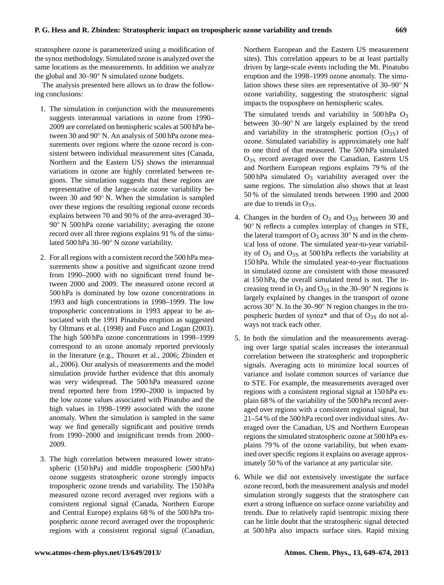stratosphere ozone is parameterized using a modification of the synoz methodology. Simulated ozone is analyzed over the same locations as the measurements. In addition we analyze the global and 30–90◦ N simulated ozone budgets.

The analysis presented here allows us to draw the following conclusions:

- 1. The simulation in conjunction with the measurements suggests interannual variations in ozone from 1990– 2009 are correlated on hemispheric scales at 500 hPa between 30 and 90◦ N. An analysis of 500 hPa ozone measurements over regions where the ozone record is consistent between individual measurement sites (Canada, Northern and the Eastern US) shows the interannual variations in ozone are highly correlated between regions. The simulation suggests that these regions are representative of the large-scale ozone variability between 30 and 90◦ N. When the simulation is sampled over these regions the resulting regional ozone records explains between 70 and 90 % of the area-averaged 30– 90° N 500 hPa ozone variability; averaging the ozone record over all three regions explains 91 % of the simulated 500 hPa 30–90◦ N ozone variability.
- 2. For all regions with a consistent record the 500 hPa measurements show a positive and significant ozone trend from 1990–2000 with no significant trend found between 2000 and 2009. The measured ozone record at 500 hPa is dominated by low ozone concentrations in 1993 and high concentrations in 1998–1999. The low tropospheric concentrations in 1993 appear to be associated with the 1991 Pinatubo eruption as suggested by Oltmans et al. (1998) and Fusco and Logan (2003). The high 500 hPa ozone concentrations in 1998–1999 correspond to an ozone anomaly reported previously in the literature (e.g., Thouret et al., 2006; Zbinden et al., 2006). Our analysis of measurements and the model simulation provide further evidence that this anomaly was very widespread. The 500 hPa measured ozone trend reported here from 1990–2000 is impacted by the low ozone values associated with Pinatubo and the high values in 1998–1999 associated with the ozone anomaly. When the simulation is sampled in the same way we find generally significant and positive trends from 1990–2000 and insignificant trends from 2000– 2009.
- 3. The high correlation between measured lower stratospheric (150 hPa) and middle tropospheric (500 hPa) ozone suggests stratospheric ozone strongly impacts tropospheric ozone trends and variability. The 150 hPa measured ozone record averaged over regions with a consistent regional signal (Canada, Northern Europe and Central Europe) explains 68 % of the 500 hPa tropospheric ozone record averaged over the tropospheric regions with a consistent regional signal (Canadian,

Northern European and the Eastern US measurement sites). This correlation appears to be at least partially driven by large-scale events including the Mt. Pinatubo eruption and the 1998–1999 ozone anomaly. The simulation shows these sites are representative of 30–90◦ N ozone variability, suggesting the stratospheric signal impacts the troposphere on hemispheric scales.

The simulated trends and variability in  $500$  hPa  $O_3$ between 30–90◦ N are largely explained by the trend and variability in the stratospheric portion  $(O_{3S})$  of ozone. Simulated variability is approximately one half to one third of that measured. The 500 hPa simulated O<sub>3S</sub> record averaged over the Canadian, Eastern US and Northern European regions explains 79 % of the  $500$  hPa simulated  $O_3$  variability averaged over the same regions. The simulation also shows that at least 50 % of the simulated trends between 1990 and 2000 are due to trends in  $O_{3S}$ .

- 4. Changes in the burden of  $O_3$  and  $O_{3S}$  between 30 and 90◦ N reflects a complex interplay of changes in STE, the lateral transport of  $O_3$  across 30 $\degree$  N and in the chemical loss of ozone. The simulated year-to-year variability of  $O_3$  and  $O_{3S}$  at 500 hPa reflects the variability at 150 hPa. While the simulated year-to-year fluctuations in simulated ozone are consistent with those measured at 150 hPa, the overall simulated trend is not. The increasing trend in  $O_3$  and  $O_{3S}$  in the 30–90° N regions is largely explained by changes in the transport of ozone across 30◦ N. In the 30–90◦ N region changes in the tropospheric burden of synoz\* and that of  $O_{3S}$  do not always not track each other.
- 5. In both the simulation and the measurements averaging over large spatial scales increases the interannual correlation between the stratospheric and tropospheric signals. Averaging acts to minimize local sources of variance and isolate common sources of variance due to STE. For example, the measurements averaged over regions with a consistent regional signal at 150 hPa explain 68 % of the variability of the 500 hPa record averaged over regions with a consistent regional signal, but 21–54 % of the 500 hPa record over individual sites. Averaged over the Canadian, US and Northern European regions the simulated stratospheric ozone at 500 hPa explains 79 % of the ozone variability, but when examined over specific regions it explains on average approximately 50 % of the variance at any particular site.
- 6. While we did not extensively investigate the surface ozone record, both the measurement analysis and model simulation strongly suggests that the stratosphere can exert a strong influence on surface ozone variability and trends. Due to relatively rapid isentropic mixing there can be little doubt that the stratospheric signal detected at 500 hPa also impacts surface sites. Rapid mixing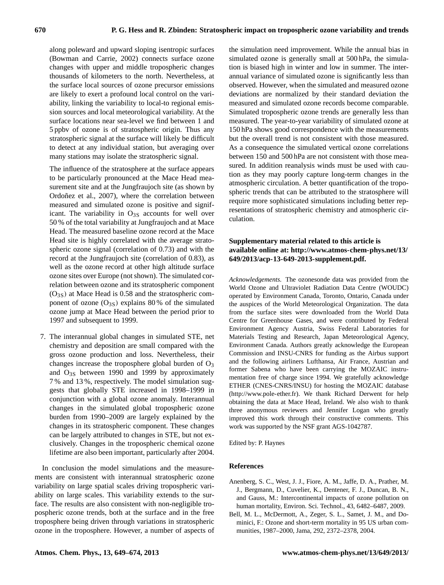along poleward and upward sloping isentropic surfaces (Bowman and Carrie, 2002) connects surface ozone changes with upper and middle tropospheric changes thousands of kilometers to the north. Nevertheless, at the surface local sources of ozone precursor emissions are likely to exert a profound local control on the variability, linking the variability to local-to regional emission sources and local meteorological variability. At the surface locations near sea-level we find between 1 and 5 ppbv of ozone is of stratospheric origin. Thus any stratospheric signal at the surface will likely be difficult to detect at any individual station, but averaging over many stations may isolate the stratospheric signal.

The influence of the stratosphere at the surface appears to be particularly pronounced at the Mace Head measurement site and at the Jungfraujoch site (as shown by Ordoñez et al., 2007), where the correlation between measured and simulated ozone is positive and significant. The variability in  $O_{3S}$  accounts for well over 50 % of the total variability at Jungfraujoch and at Mace Head. The measured baseline ozone record at the Mace Head site is highly correlated with the average stratospheric ozone signal (correlation of 0.73) and with the record at the Jungfraujoch site (correlation of 0.83), as well as the ozone record at other high altitude surface ozone sites over Europe (not shown). The simulated correlation between ozone and its stratospheric component  $(O_{3S})$  at Mace Head is 0.58 and the stratospheric component of ozone  $(O_{3S})$  explains 80% of the simulated ozone jump at Mace Head between the period prior to 1997 and subsequent to 1999.

7. The interannual global changes in simulated STE, net chemistry and deposition are small compared with the gross ozone production and loss. Nevertheless, their changes increase the troposphere global burden of  $O_3$ and  $O_{3S}$  between 1990 and 1999 by approximately 7 % and 13 %, respectively. The model simulation suggests that globally STE increased in 1998–1999 in conjunction with a global ozone anomaly. Interannual changes in the simulated global tropospheric ozone burden from 1990–2009 are largely explained by the changes in its stratospheric component. These changes can be largely attributed to changes in STE, but not exclusively. Changes in the tropospheric chemical ozone lifetime are also been important, particularly after 2004.

In conclusion the model simulations and the measurements are consistent with interannual stratospheric ozone variability on large spatial scales driving tropospheric variability on large scales. This variability extends to the surface. The results are also consistent with non-negligible tropospheric ozone trends, both at the surface and in the free troposphere being driven through variations in stratospheric ozone in the troposphere. However, a number of aspects of the simulation need improvement. While the annual bias in simulated ozone is generally small at 500 hPa, the simulation is biased high in winter and low in summer. The interannual variance of simulated ozone is significantly less than observed. However, when the simulated and measured ozone deviations are normalized by their standard deviation the measured and simulated ozone records become comparable. Simulated tropospheric ozone trends are generally less than measured. The year-to-year variability of simulated ozone at 150 hPa shows good correspondence with the measurements but the overall trend is not consistent with those measured. As a consequence the simulated vertical ozone correlations between 150 and 500 hPa are not consistent with those measured. In addition reanalysis winds must be used with caution as they may poorly capture long-term changes in the atmospheric circulation. A better quantification of the tropospheric trends that can be attributed to the stratosphere will require more sophisticated simulations including better representations of stratospheric chemistry and atmospheric circulation.

# **Supplementary material related to this article is available online at: [http://www.atmos-chem-phys.net/13/](http://www.atmos-chem-phys.net/13/649/2013/acp-13-649-2013-supplement.pdf) [649/2013/acp-13-649-2013-supplement.pdf.](http://www.atmos-chem-phys.net/13/649/2013/acp-13-649-2013-supplement.pdf)**

*Acknowledgements.* The ozonesonde data was provided from the World Ozone and Ultraviolet Radiation Data Centre (WOUDC) operated by Environment Canada, Toronto, Ontario, Canada under the auspices of the World Meteorological Organization. The data from the surface sites were downloaded from the World Data Centre for Greenhouse Gases, and were contributed by Federal Environment Agency Austria, Swiss Federal Laboratories for Materials Testing and Research, Japan Meteorological Agency, Environment Canada. Authors greatly acknowledge the European Commission and INSU-CNRS for funding as the Airbus support and the following airliners Lufthansa, Air France, Austrian and former Sabena who have been carrying the MOZAIC instrumentation free of charge since 1994. We gratefully acknowledge ETHER (CNES-CNRS/INSU) for hosting the MOZAIC database [\(http://www.pole-ether.fr\)](http://www.pole-ether.fr). We thank Richard Derwent for help obtaining the data at Mace Head, Ireland. We also wish to thank three anonymous reviewers and Jennifer Logan who greatly improved this work through their constructive comments. This work was supported by the NSF grant AGS-1042787.

Edited by: P. Haynes

# **References**

- Anenberg, S. C., West, J. J., Fiore, A. M., Jaffe, D. A., Prather, M. J., Bergmann, D., Cuvelier, K., Dentener, F. J., Duncan, B. N., and Gauss, M.: Intercontinental impacts of ozone pollution on human mortality, Environ. Sci. Technol., 43, 6482–6487, 2009.
- Bell, M. L., McDermott, A., Zeger, S. L., Samet, J. M., and Dominici, F.: Ozone and short-term mortality in 95 US urban communities, 1987–2000, Jama, 292, 2372–2378, 2004.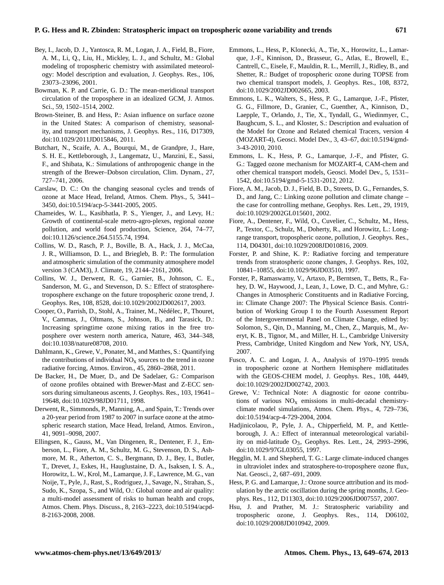- Bey, I., Jacob, D. J., Yantosca, R. M., Logan, J. A., Field, B., Fiore, A. M., Li, Q., Liu, H., Mickley, L. J., and Schultz, M.: Global modeling of tropospheric chemistry with assimilated meteorology: Model description and evaluation, J. Geophys. Res., 106, 23073–23096, 2001.
- Bowman, K. P. and Carrie, G. D.: The mean-meridional transport circulation of the troposphere in an idealized GCM, J. Atmos. Sci., 59, 1502–1514, 2002.
- Brown-Steiner, B. and Hess, P.: Asian influence on surface ozone in the United States: A comparison of chemistry, seasonality, and transport mechanisms, J. Geophys. Res., 116, D17309, [doi:10.1029/2011JD015846,](http://dx.doi.org/10.1029/2011JD015846) 2011.
- Butchart, N., Scaife, A. A., Bourqui, M., de Grandpre, J., Hare, S. H. E., Kettleborough, J., Langematz, U., Manzini, E., Sassi, F., and Shibata, K.: Simulations of anthropogenic change in the strength of the Brewer–Dobson circulation, Clim. Dynam., 27, 727–741, 2006.
- Carslaw, D. C.: On the changing seasonal cycles and trends of ozone at Mace Head, Ireland, Atmos. Chem. Phys., 5, 3441– 3450, [doi:10.5194/acp-5-3441-2005,](http://dx.doi.org/10.5194/acp-5-3441-2005) 2005.
- Chameides, W. L., Kasibhatla, P. S., Yienger, J., and Levy, H.: Growth of continental-scale metro-agro-plexes, regional ozone pollution, and world food production, Science, 264, 74–77, [doi:10.1126/science.264.5155.74,](http://dx.doi.org/10.1126/science.264.5155.74) 1994.
- Collins, W. D., Rasch, P. J., Boville, B. A., Hack, J. J., McCaa, J. R., Williamson, D. L., and Briegleb, B. P.: The formulation and atmospheric simulation of the community atmosphere model version 3 (CAM3), J. Climate, 19, 2144–2161, 2006.
- Collins, W. J., Derwent, R. G., Garnier, B., Johnson, C. E., Sanderson, M. G., and Stevenson, D. S.: Effect of stratospheretroposphere exchange on the future tropospheric ozone trend, J. Geophys. Res, 108, 8528, [doi:10.1029/2002JD002617,](http://dx.doi.org/10.1029/2002JD002617) 2003.
- Cooper, O., Parrish, D., Stohl, A., Trainer, M., Nédélec, P., Thouret, V., Cammas, J., Oltmans, S., Johnson, B., and Tarasick, D.: Increasing springtime ozone mixing ratios in the free troposphere over western north america, Nature, 463, 344–348, [doi:10.1038/nature08708,](http://dx.doi.org/10.1038/nature08708) 2010.
- Dahlmann, K., Grewe, V., Ponater, M., and Matthes, S.: Quantifying the contributions of individual  $NO<sub>x</sub>$  sources to the trend in ozone radiative forcing, Atmos. Environ., 45, 2860–2868, 2011.
- De Backer, H., De Muer, D., and De Sadelaer, G.: Comparison of ozone profiles obtained with Brewer-Mast and Z-ECC sensors during simultaneous ascents, J. Geophys. Res., 103, 19641– 19648, [doi:10.1029/98JD01711,](http://dx.doi.org/10.1029/98JD01711) 1998.
- Derwent, R., Simmonds, P., Manning, A., and Spain, T.: Trends over a 20-year period from 1987 to 2007 in surface ozone at the atmospheric research station, Mace Head, Ireland, Atmos. Environ., 41, 9091–9098, 2007.
- Ellingsen, K., Gauss, M., Van Dingenen, R., Dentener, F. J., Emberson, L., Fiore, A. M., Schultz, M. G., Stevenson, D. S., Ashmore, M. R., Atherton, C. S., Bergmann, D. J., Bey, I., Butler, T., Drevet, J., Eskes, H., Hauglustaine, D. A., Isaksen, I. S. A., Horowitz, L. W., Krol, M., Lamarque, J. F., Lawrence, M. G., van Noije, T., Pyle, J., Rast, S., Rodriguez, J., Savage, N., Strahan, S., Sudo, K., Szopa, S., and Wild, O.: Global ozone and air quality: a multi-model assessment of risks to human health and crops, Atmos. Chem. Phys. Discuss., 8, 2163–2223, [doi:10.5194/acpd-](http://dx.doi.org/10.5194/acpd-8-2163-2008)[8-2163-2008,](http://dx.doi.org/10.5194/acpd-8-2163-2008) 2008.
- Emmons, L., Hess, P., Klonecki, A., Tie, X., Horowitz, L., Lamarque, J.-F., Kinnison, D., Brasseur, G., Atlas, E., Browell, E., Cantrell, C., Eisele, F., Mauldin, R. L., Merrill, J., Ridley, B., and Shetter, R.: Budget of tropospheric ozone during TOPSE from two chemical transport models, J. Geophys. Res., 108, 8372, doi:10.1029/2002JD002665, 2003.
- Emmons, L. K., Walters, S., Hess, P. G., Lamarque, J.-F., Pfister, G. G., Fillmore, D., Granier, C., Guenther, A., Kinnison, D., Laepple, T., Orlando, J., Tie, X., Tyndall, G., Wiedinmyer, C., Baughcum, S. L., and Kloster, S.: Description and evaluation of the Model for Ozone and Related chemical Tracers, version 4 (MOZART-4), Geosci. Model Dev., 3, 43–67, [doi:10.5194/gmd-](http://dx.doi.org/10.5194/gmd-3-43-2010)[3-43-2010,](http://dx.doi.org/10.5194/gmd-3-43-2010) 2010.
- Emmons, L. K., Hess, P. G., Lamarque, J.-F., and Pfister, G. G.: Tagged ozone mechanism for MOZART-4, CAM-chem and other chemical transport models, Geosci. Model Dev., 5, 1531– 1542, [doi:10.5194/gmd-5-1531-2012,](http://dx.doi.org/10.5194/gmd-5-1531-2012) 2012.
- Fiore, A. M., Jacob, D. J., Field, B. D., Streets, D. G., Fernandes, S. D., and Jang, C.: Linking ozone pollution and climate change – the case for controlling methane, Geophys. Res. Lett., 29, 1919, [doi:10.1029/2002GL015601,](http://dx.doi.org/10.1029/2002GL015601) 2002.
- Fiore, A., Dentener, F., Wild, O., Cuvelier, C., Schultz, M., Hess, P., Textor, C., Schulz, M., Doherty, R., and Horowitz, L.: Longrange transport, tropospheric ozone, pollution, J. Geophys. Res., 114, D04301, [doi:10.1029/2008JD010816,](http://dx.doi.org/10.1029/2008JD010816) 2009.
- Forster, P. and Shine, K. P.: Radiative forcing and temperature trends from stratospheric ozone changes, J. Geophys. Res, 102, 10841–10855, [doi:10.1029/96JD03510,](http://dx.doi.org/10.1029/96JD03510) 1997.
- Forster, P., Ramaswamy, V., Artaxo, P., Berntsen, T., Betts, R., Fahey, D. W., Haywood, J., Lean, J., Lowe, D. C., and Myhre, G.: Changes in Atmospheric Constituents and in Radiative Forcing, in: Climate Change 2007: The Physical Science Basis. Contribution of Working Group I to the Fourth Assessment Report of the Intergovernmental Panel on Climate Change, edited by: Solomon, S., Qin, D., Manning, M., Chen, Z., Marquis, M., Averyt, K. B., Tignor, M., and Miller, H. L., Cambridge University Press, Cambridge, United Kingdom and New York, NY, USA, 2007.
- Fusco, A. C. and Logan, J. A., Analysis of 1970–1995 trends in tropospheric ozone at Northern Hemisphere midlatitudes with the GEOS-CHEM model, J. Geophys. Res., 108, 4449, [doi:10.1029/2002JD002742,](http://dx.doi.org/10.1029/2002JD002742) 2003.
- Grewe, V.: Technical Note: A diagnostic for ozone contributions of various NOx emissions in multi-decadal chemistryclimate model simulations, Atmos. Chem. Phys., 4, 729–736, [doi:10.5194/acp-4-729-2004,](http://dx.doi.org/10.5194/acp-4-729-2004) 2004.
- Hadjinicolaou, P., Pyle, J. A., Chipperfield, M. P., and Kettleborough, J. A.: Effect of interannual meteorological variability on mid-latitude  $O_3$ , Geophys. Res. Lett., 24, 2993–2996, [doi:10.1029/97GL03055,](http://dx.doi.org/10.1029/97GL03055) 1997.
- Hegglin, M. I. and Shepherd, T. G.: Large climate-induced changes in ultraviolet index and stratosphere-to-troposphere ozone flux, Nat. Geosci., 2, 687–691, 2009.
- Hess, P. G. and Lamarque, J.: Ozone source attribution and its modulation by the arctic oscillation during the spring months, J. Geophys. Res., 112, D11303, [doi:10.1029/2006JD007557,](http://dx.doi.org/10.1029/2006JD007557) 2007.
- Hsu, J. and Prather, M. J.: Stratospheric variability and tropospheric ozone, J. Geophys. Res., 114, D06102, [doi:10.1029/2008JD010942,](http://dx.doi.org/10.1029/2008JD010942) 2009.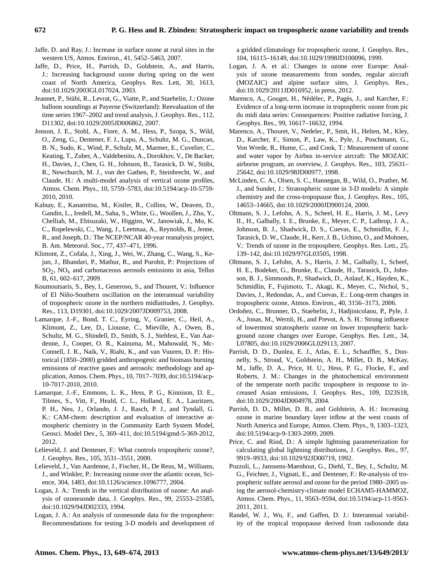- Jaffe, D. and Ray, J.: Increase in surface ozone at rural sites in the western US, Atmos. Environ., 41, 5452–5463, 2007.
- Jaffe, D., Price, H., Parrish, D., Goldstein, A., and Harris, J.: Increasing background ozone during spring on the west coast of North America, Geophys. Res. Lett, 30, 1613, [doi:10.1029/2003GL017024,](http://dx.doi.org/10.1029/2003GL017024) 2003.
- Jeannet, P., Stübi, R., Levrat, G., Viatte, P., and Staehelin, J.: Ozone balloon soundings at Payerne (Switzerland): Reevaluation of the time series 1967–2002 and trend analysis, J. Geophys. Res., 112, D11302, doi:10.1029/2005JD006862, 2007.
- Jonson, J. E., Stohl, A., Fiore, A. M., Hess, P., Szopa, S., Wild, O., Zeng, G., Dentener, F. J., Lupu, A., Schultz, M. G., Duncan, B. N., Sudo, K., Wind, P., Schulz, M., Marmer, E., Cuvelier, C., Keating, T., Zuber, A., Valdebenito, A., Dorokhov, V., De Backer, H., Davies, J., Chen, G. H., Johnson, B., Tarasick, D. W., Stübi, R., Newchurch, M. J., von der Gathen, P., Steinbrecht, W., and Claude, H.: A multi-model analysis of vertical ozone profiles, Atmos. Chem. Phys., 10, 5759–5783, [doi:10.5194/acp-10-5759-](http://dx.doi.org/10.5194/acp-10-5759-2010) [2010,](http://dx.doi.org/10.5194/acp-10-5759-2010) 2010.
- Kalnay, E., Kanamitsu, M., Kistler, R., Collins, W., Deaven, D., Gandin, L., Iredell, M., Saha, S., White, G., Woollen, J., Zhu, Y., Chelliah, M., Ebisuzaki, W., Higgins, W., Janowiak, J., Mo, K. C., Ropelewski, C., Wang, J., Leetmaa, A., Reynolds, R., Jenne, R., and Joseph, D.: The NCEP/NCAR 40-year reanalysis project, B. Am. Meteorol. Soc., 77, 437–471, 1996.
- Klimont, Z., Cofala, J., Xing, J., Wei, W., Zhang, C., Wang, S., Kejun, J., Bhandari, P., Mathur, R., and Purohit, P.: Projections of  $SO_2$ ,  $NO<sub>x</sub>$  and carbonaceous aerosols emissions in asia, Tellus B, 61, 602–617, 2009.
- Koumoutsaris, S., Bey, I., Generoso, S., and Thouret, V.: Influence of El Niño-Southern oscillation on the interannual variability of tropospheric ozone in the northern midlatitudes, J. Geophys. Res., 113, D19301, [doi:10.1029/2007JD009753,](http://dx.doi.org/10.1029/2007JD009753) 2008.
- Lamarque, J.-F., Bond, T. C., Eyring, V., Granier, C., Heil, A., Klimont, Z., Lee, D., Liousse, C., Mieville, A., Owen, B., Schultz, M. G., Shindell, D., Smith, S. J., Stehfest, E., Van Aardenne, J., Cooper, O. R., Kainuma, M., Mahowald, N., Mc-Connell, J. R., Naik, V., Riahi, K., and van Vuuren, D. P.: Historical (1850–2000) gridded anthropogenic and biomass burning emissions of reactive gases and aerosols: methodology and application, Atmos. Chem. Phys., 10, 7017–7039, [doi:10.5194/acp-](http://dx.doi.org/10.5194/acp-10-7017-2010)[10-7017-2010,](http://dx.doi.org/10.5194/acp-10-7017-2010) 2010.
- Lamarque, J.-F., Emmons, L. K., Hess, P. G., Kinnison, D. E., Tilmes, S., Vitt, F., Heald, C. L., Holland, E. A., Lauritzen, P. H., Neu, J., Orlando, J. J., Rasch, P. J., and Tyndall, G. K.: CAM-chem: description and evaluation of interactive atmospheric chemistry in the Community Earth System Model, Geosci. Model Dev., 5, 369–411, [doi:10.5194/gmd-5-369-2012,](http://dx.doi.org/10.5194/gmd-5-369-2012) 2012.
- Lelieveld, J. and Dentener, F.: What controls tropospheric ozone?, J. Geophys. Res., 105, 3531–3551, 2000.
- Lelieveld, J., Van Aardenne, J., Fischer, H., De Reus, M., Williams, J., and Winkler, P.: Increasing ozone over the atlantic ocean, Science, 304, 1483, [doi:10.1126/science.1096777,](http://dx.doi.org/10.1126/science.1096777) 2004.
- Logan, J. A.: Trends in the vertical distribution of ozone: An analysis of ozonesonde data, J. Geophys. Res., 99, 25553–25585, [doi:10.1029/94JD02333,](http://dx.doi.org/10.1029/94JD02333) 1994.
- Logan, J. A.: An analysis of ozonesonde data for the troposphere: Recommendations for testing 3-D models and development of

a gridded climatology for tropospheric ozone, J. Geophys. Res., 104, 16115–16149, [doi:10.1029/1998JD100096,](http://dx.doi.org/10.1029/1998JD100096) 1999.

- Logan, J. A. et al.: Changes in ozone over Europe: Analysis of ozone measurements from sondes, regular aircraft (MOZAIC) and alpine surface sites, J. Geophys. Res., [doi:10.1029/2011JD016952,](http://dx.doi.org/10.1029/2011JD016952) in press, 2012.
- Marenco, A., Gouget, H., Nédélec, P., Pagés, J., and Karcher, F.: Evidence of a long-term increase in tropospheric ozone from pic du midi data series: Consequences: Positive radiative forcing, J. Geophys. Res., 99, 16617–16632, 1994.
- Marenco, A., Thouret, V., Nedelec, P., Smit, H., Helten, M., Kley, D., Karcher, F., Simon, P., Law, K., Pyle, J., Poschmann, G., Von Wrede, R., Hume, C., and Cook, T.: Measurement of ozone and water vapor by Airbus in-service aircraft: The MOZAIC airborne program, an overview, J. Geophys. Res., 103, 25631– 25642, [doi:10.1029/98JD00977,](http://dx.doi.org/10.1029/98JD00977) 1998.
- McLinden, C. A., Olsen, S. C., Hannegan, B., Wild, O., Prather, M. J., and Sundet, J.: Stratospheric ozone in 3-D models: A simple chemistry and the cross-tropopause flux, J. Geophys. Res., 105, 14653–14665, [doi:10.1029/2000JD900124,](http://dx.doi.org/10.1029/2000JD900124) 2000.
- Oltmans, S. J., Lefohn, A. S., Scheel, H. E., Harris, J. M., Levy II., H., Galbally, I. E., Brunke, E., Meyer, C. P., Lathrop, J. A., Johnson, B. J., Shadwick, D. S., Cuevas, E., Schmidlin, F. J., Tarasick, D. W., Claude, H., Kerr, J. B., Uchino, O., and Mohnen, V.: Trends of ozone in the troposphere, Geophys. Res. Lett., 25, 139–142, [doi:10.1029/97GL03505,](http://dx.doi.org/10.1029/97GL03505) 1998.
- Oltmans, S. J., Lefohn, A. S., Harris, J. M., Galbally, I., Scheel, H. E., Bodeker, G., Brunke, E., Claude, H., Tarasick, D., Johnson, B. J., Simmonds, P., Shadwick, D., Anlauf, K., Hayden, K., Schmidlin, F., Fujimoto, T., Akagi, K., Meyer, C., Nichol, S., Davies, J., Redondas, A., and Cuevas, E.: Long-term changes in tropospheric ozone, Atmos. Environ., 40, 3156–3173, 2006.
- Ordonez, C., Brunner, D., Staehelin, J., Hadjinicolaou, P., Pyle, J. ˜ A., Jonas, M., Wernli, H., and Prevot, A. S. H.: Strong influence of lowermost stratospheric ozone on lower tropospheric background ozone changes over Europe, Geophys. Res. Lett., 34, L07805, [doi:10.1029/2006GL029113,](http://dx.doi.org/10.1029/2006GL029113) 2007.
- Parrish, D. D., Dunlea, E. J., Atlas, E. L., Schauffler, S., Donnelly, S., Stroud, V., Goldstein, A. H., Millet, D. B., McKay, M., Jaffe, D. A., Price, H. U., Hess, P. G., Flocke, F., and Roberts, J. M.: Changes in the photochemical environment of the temperate north pacific troposphere in response to increased Asian emissions, J. Geophys. Res., 109, D23S18, [doi:10.1029/2004JD004978,](http://dx.doi.org/10.1029/2004JD004978) 2004.
- Parrish, D. D., Millet, D. B., and Goldstein, A. H.: Increasing ozone in marine boundary layer inflow at the west coasts of North America and Europe, Atmos. Chem. Phys., 9, 1303–1323, [doi:10.5194/acp-9-1303-2009,](http://dx.doi.org/10.5194/acp-9-1303-2009) 2009.
- Price, C. and Rind, D.: A simple lightning parameterization for calculating global lightning distributions, J. Geophys. Res., 97, 9919–9933, [doi:10.1029/92JD00719,](http://dx.doi.org/10.1029/92JD00719) 1992.
- Pozzoli, L., Janssens-Maenhout, G., Diehl, T., Bey, I., Schultz, M. G., Feichter, J., Vignati, E., and Dentener, F.: Re-analysis of tropospheric sulfate aerosol and ozone for the period 1980–2005 using the aerosol-chemistry-climate model ECHAM5-HAMMOZ, Atmos. Chem. Phys., 11, 9563–9594, [doi:10.5194/acp-11-9563-](http://dx.doi.org/10.5194/acp-11-9563-2011) [2011,](http://dx.doi.org/10.5194/acp-11-9563-2011) 2011.
- Randel, W. J., Wu, F., and Gaffen, D. J.: Interannual variability of the tropical tropopause derived from radiosonde data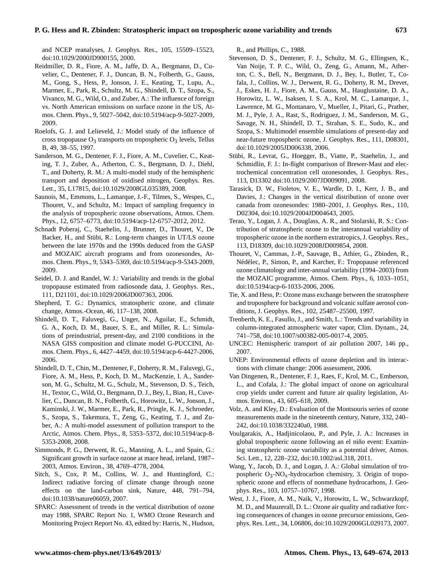and NCEP reanalyses, J. Geophys. Res., 105, 15509–15523, [doi:10.1029/2000JD900155,](http://dx.doi.org/10.1029/2000JD900155) 2000.

- Reidmiller, D. R., Fiore, A. M., Jaffe, D. A., Bergmann, D., Cuvelier, C., Dentener, F. J., Duncan, B. N., Folberth, G., Gauss, M., Gong, S., Hess, P., Jonson, J. E., Keating, T., Lupu, A., Marmer, E., Park, R., Schultz, M. G., Shindell, D. T., Szopa, S., Vivanco, M. G., Wild, O., and Zuber, A.: The influence of foreign vs. North American emissions on surface ozone in the US, Atmos. Chem. Phys., 9, 5027–5042, [doi:10.5194/acp-9-5027-2009,](http://dx.doi.org/10.5194/acp-9-5027-2009) 2009.
- Roelofs, G. J. and Lelieveld, J.: Model study of the influence of cross tropopause  $O_3$  transports on tropospheric  $O_3$  levels, Tellus B, 49, 38–55, 1997.
- Sanderson, M. G., Dentener, F. J., Fiore, A. M., Cuvelier, C., Keating, T. J., Zuber, A., Atherton, C. S., Bergmann, D. J., Diehl, T., and Doherty, R. M.: A multi-model study of the hemispheric transport and deposition of oxidised nitrogen, Geophys. Res. Lett., 35, L17815, [doi:10.1029/2008GL035389,](http://dx.doi.org/10.1029/2008GL035389) 2008.
- Saunois, M., Emmons, L., Lamarque, J.-F., Tilmes, S., Wespes, C., Thouret, V., and Schultz, M.: Impact of sampling frequency in the analysis of tropospheric ozone observations, Atmos. Chem. Phys., 12, 6757–6773, [doi:10.5194/acp-12-6757-2012,](http://dx.doi.org/10.5194/acp-12-6757-2012) 2012.
- Schnadt Poberaj, C., Staehelin, J., Brunner, D., Thouret, V., De Backer, H., and Stübi, R.: Long-term changes in UT/LS ozone between the late 1970s and the 1990s deduced from the GASP and MOZAIC aircraft programs and from ozonesondes, Atmos. Chem. Phys., 9, 5343–5369, [doi:10.5194/acp-9-5343-2009,](http://dx.doi.org/10.5194/acp-9-5343-2009) 2009.
- Seidel, D. J. and Randel, W. J.: Variability and trends in the global tropopause estimated from radiosonde data, J. Geophys. Res., 111, D21101, [doi:10.1029/2006JD007363,](http://dx.doi.org/10.1029/2006JD007363) 2006.
- Shepherd, T. G.: Dynamics, stratospheric ozone, and climate change, Atmos.-Ocean, 46, 117–138, 2008.
- Shindell, D. T., Faluvegi, G., Unger, N., Aguilar, E., Schmidt, G. A., Koch, D. M., Bauer, S. E., and Miller, R. L.: Simulations of preindustrial, present-day, and 2100 conditions in the NASA GISS composition and climate model G-PUCCINI, Atmos. Chem. Phys., 6, 4427–4459, [doi:10.5194/acp-6-4427-2006,](http://dx.doi.org/10.5194/acp-6-4427-2006) 2006.
- Shindell, D. T., Chin, M., Dentener, F., Doherty, R. M., Faluvegi, G., Fiore, A. M., Hess, P., Koch, D. M., MacKenzie, I. A., Sanderson, M. G., Schultz, M. G., Schulz, M., Stevenson, D. S., Teich, H., Textor, C., Wild, O., Bergmann, D. J., Bey, I., Bian, H., Cuvelier, C., Duncan, B. N., Folberth, G., Horowitz, L. W., Jonson, J., Kaminski, J. W., Marmer, E., Park, R., Pringle, K. J., Schroeder, S., Szopa, S., Takemura, T., Zeng, G., Keating, T. J., and Zuber, A.: A multi-model assessment of pollution transport to the Arctic, Atmos. Chem. Phys., 8, 5353–5372, [doi:10.5194/acp-8-](http://dx.doi.org/10.5194/acp-8-5353-2008) [5353-2008,](http://dx.doi.org/10.5194/acp-8-5353-2008) 2008.
- Simmonds, P. G., Derwent, R. G., Manning, A. L., and Spain, G.: Significant growth in surface ozone at mace head, ireland, 1987– 2003, Atmos. Environ., 38, 4769–4778, 2004.
- Sitch, S., Cox, P. M., Collins, W. J., and Huntingford, C.: Indirect radiative forcing of climate change through ozone effects on the land-carbon sink, Nature, 448, 791–794, [doi:10.1038/nature06059,](http://dx.doi.org/10.1038/nature06059) 2007.
- SPARC: Assessment of trends in the vertical distribution of ozone may 1988, SPARC Report No. 1, WMO Ozone Research and Monitoring Project Report No. 43, edited by: Harris, N., Hudson,

R., and Phillips, C., 1988.

- Stevenson, D. S., Dentener, F. J., Schultz, M. G., Ellingsen, K., Van Noije, T. P. C., Wild, O., Zeng, G., Amann, M., Atherton, C. S., Bell, N., Bergmann, D. J., Bey, I., Butler, T., Cofala, J., Collins, W. J., Derwent, R. G., Doherty, R. M., Drevet, J., Eskes, H. J., Fiore, A. M., Gauss, M., Hauglustaine, D. A., Horowitz, L. W., Isaksen, I. S. A., Krol, M. C., Lamarque, J., Lawrence, M. G., Montanaro, V., Mueller, J., Pitari, G., Prather, M. J., Pyle, J. A., Rast, S., Rodriguez, J. M., Sanderson, M. G., Savage, N. H., Shindell, D. T., Strahan, S. E., Sudo, K., and Szopa, S.: Multimodel ensemble simulations of present-day and near-future tropospheric ozone, J. Geophys. Res., 111, D08301, [doi:10.1029/2005JD006338,](http://dx.doi.org/10.1029/2005JD006338) 2006.
- Stübi, R., Levrat, G., Hoegger, B., Viatte, P., Staehelin, J., and Schmidlin, F. J.: In-flight comparison of Brewer-Mast and electrochemical concentration cell ozonesondes, J. Geophys. Res., 113, D13302 [doi:10.1029/2007JD009091,](http://dx.doi.org/10.1029/2007JD009091) 2008.
- Tarasick, D. W., Fioletov, V. E., Wardle, D. I., Kerr, J. B., and Davies, J.: Changes in the vertical distribution of ozone over canada from ozonesondes: 1980–2001, J. Geophys. Res., 110, D02304, [doi:10.1029/2004JD004643,](http://dx.doi.org/10.1029/2004JD004643) 2005.
- Terao, Y., Logan, J. A., Douglass, A. R., and Stolarski, R. S.: Contribution of stratospheric ozone to the interannual variability of tropospheric ozone in the northern extratropics, J. Geophys. Res., 113, D18309, [doi:10.1029/2008JD009854,](http://dx.doi.org/10.1029/2008JD009854) 2008.
- Thouret, V., Cammas, J.-P., Sauvage, B., Athier, G., Zbinden, R., Nédélec, P., Simon, P., and Karcher, F.: Tropopause referenced ozone climatology and inter-annual variability (1994–2003) from the MOZAIC programme, Atmos. Chem. Phys., 6, 1033–1051, [doi:10.5194/acp-6-1033-2006,](http://dx.doi.org/10.5194/acp-6-1033-2006) 2006.
- Tie, X. and Hess, P.: Ozone mass exchange between the stratosphere and troposphere for background and volcanic sulfate aerosol conditions, J. Geophys. Res., 102, 25487–25500, 1997.
- Trenberth, K. E., Fasullo, J., and Smith, L.: Trends and variability in column-integrated atmospheric water vapor, Clim. Dynam., 24, 741–758, [doi:10.1007/s00382-005-0017-4,](http://dx.doi.org/10.1007/s00382-005-0017-4) 2005.
- UNCEC: Hemispheric transport of air pollution 2007, 146 pp., 2007.
- UNEP: Environmental effects of ozone depletion and its interactions with climate change: 2006 assessment, 2006.
- Van Dingenen, R., Dentener, F. J., Raes, F., Krol, M. C., Emberson, L., and Cofala, J.: The global impact of ozone on agricultural crop yields under current and future air quality legislation, Atmos. Environ., 43, 605–618, 2009.
- Volz, A. and Kley, D.: Evaluation of the Montsouris series of ozone measurements made in the nineteenth century, Nature, 332, 240– 242, [doi:10.1038/332240a0,](http://dx.doi.org/10.1038/332240a0) 1988.
- Voulgarakis, A., Hadjinicolaou, P., and Pyle, J. A.: Increases in global tropospheric ozone following an el niño event: Examining stratospheric ozone variability as a potential driver, Atmos. Sci. Lett., 12, 228–232, [doi:10.1002/asl.318,](http://dx.doi.org/10.1002/asl.318) 2011.
- Wang, Y., Jacob, D. J., and Logan, J. A.: Global simulation of tropospheric  $O_3$ -NO<sub>x</sub>-hydrocarbon chemistry, 3. Origin of tropospheric ozone and effects of nonmethane hydrocarbons, J. Geophys. Res., 103, 10757–10767, 1998.
- West, J. J., Fiore, A. M., Naik, V., Horowitz, L. W., Schwarzkopf, M. D., and Mauzerall, D. L.: Ozone air quality and radiative forcing consequences of changes in ozone precursor emissions, Geophys. Res. Lett., 34, L06806, [doi:10.1029/2006GL029173,](http://dx.doi.org/10.1029/2006GL029173) 2007.